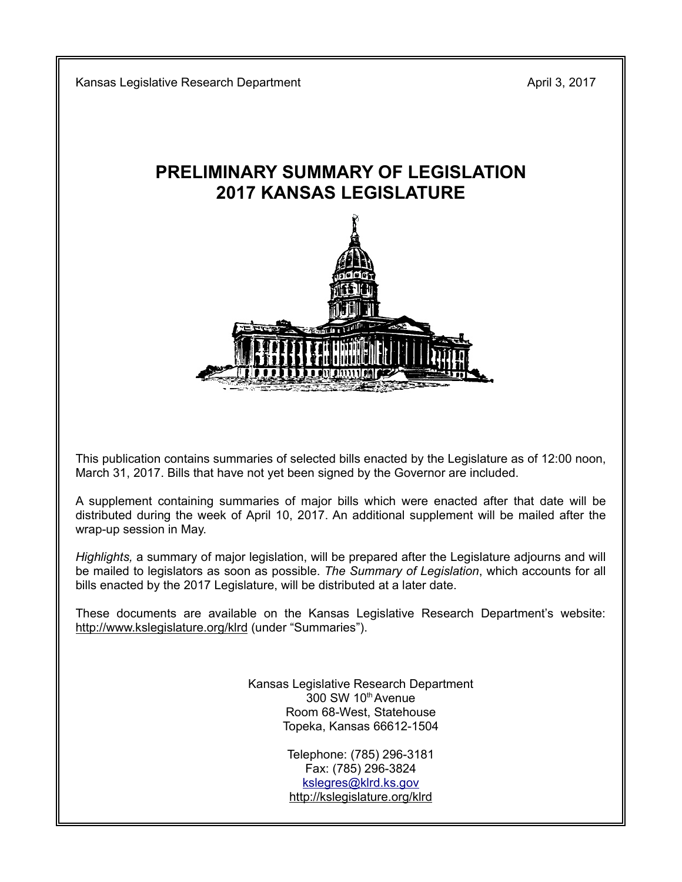Kansas Legislative Research Department April 3, 2017

# **PRELIMINARY SUMMARY OF LEGISLATION 2017 KANSAS LEGISLATURE**



This publication contains summaries of selected bills enacted by the Legislature as of 12:00 noon, March 31, 2017. Bills that have not yet been signed by the Governor are included.

A supplement containing summaries of major bills which were enacted after that date will be distributed during the week of April 10, 2017. An additional supplement will be mailed after the wrap-up session in May.

*Highlights,* a summary of major legislation, will be prepared after the Legislature adjourns and will be mailed to legislators as soon as possible. *The Summary of Legislation*, which accounts for all bills enacted by the 2017 Legislature, will be distributed at a later date.

These documents are available on the Kansas Legislative Research Department's website: http://www.kslegislature.org/klrd (under "Summaries").

> Kansas Legislative Research Department 300 SW 10th Avenue Room 68-West, Statehouse Topeka, Kansas 66612-1504

> > Telephone: (785) 296-3181 Fax: (785) 296-3824 kslegres@klrd.ks.gov http://kslegislature.org/klrd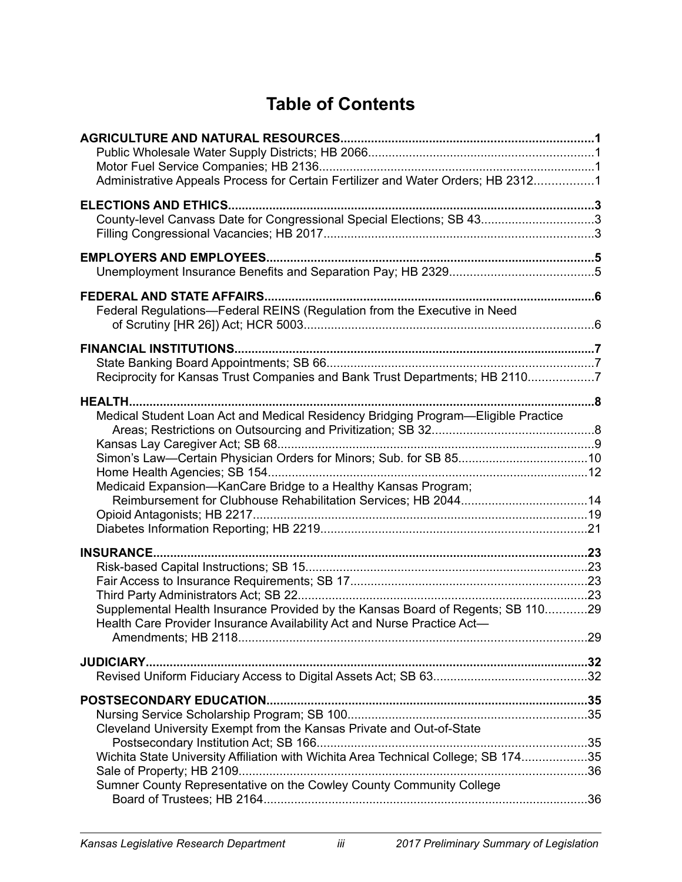# **Table of Contents**

| Administrative Appeals Process for Certain Fertilizer and Water Orders; HB 23121                                                                           |     |
|------------------------------------------------------------------------------------------------------------------------------------------------------------|-----|
|                                                                                                                                                            |     |
| County-level Canvass Date for Congressional Special Elections; SB 433                                                                                      |     |
|                                                                                                                                                            |     |
|                                                                                                                                                            |     |
|                                                                                                                                                            |     |
| Federal Regulations-Federal REINS (Regulation from the Executive in Need                                                                                   |     |
|                                                                                                                                                            |     |
|                                                                                                                                                            |     |
| Reciprocity for Kansas Trust Companies and Bank Trust Departments; HB 21107                                                                                |     |
| <b>HEALTH</b>                                                                                                                                              | . 8 |
| Medical Student Loan Act and Medical Residency Bridging Program-Eligible Practice                                                                          |     |
|                                                                                                                                                            |     |
|                                                                                                                                                            |     |
| Medicaid Expansion-KanCare Bridge to a Healthy Kansas Program;                                                                                             |     |
|                                                                                                                                                            |     |
|                                                                                                                                                            |     |
| <b>INSURANCE</b>                                                                                                                                           |     |
|                                                                                                                                                            |     |
|                                                                                                                                                            |     |
|                                                                                                                                                            |     |
| Supplemental Health Insurance Provided by the Kansas Board of Regents; SB 11029<br>Health Care Provider Insurance Availability Act and Nurse Practice Act- |     |
|                                                                                                                                                            |     |
|                                                                                                                                                            |     |
|                                                                                                                                                            |     |
|                                                                                                                                                            |     |
|                                                                                                                                                            |     |
| Cleveland University Exempt from the Kansas Private and Out-of-State                                                                                       |     |
| Wichita State University Affiliation with Wichita Area Technical College; SB 17435                                                                         |     |
|                                                                                                                                                            |     |
| Sumner County Representative on the Cowley County Community College                                                                                        |     |
|                                                                                                                                                            |     |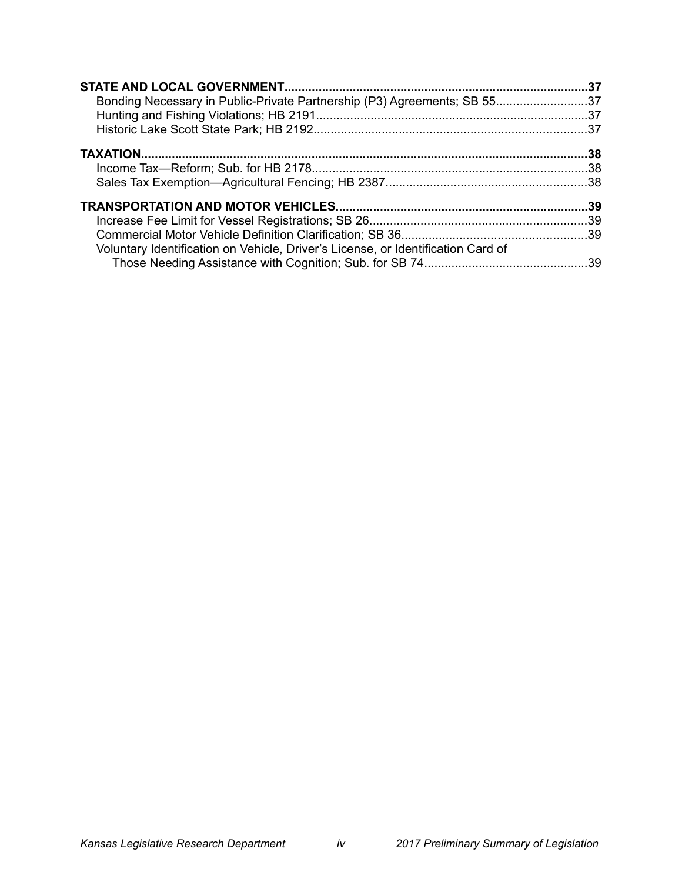| Bonding Necessary in Public-Private Partnership (P3) Agreements; SB 5537         |  |
|----------------------------------------------------------------------------------|--|
|                                                                                  |  |
| Voluntary Identification on Vehicle, Driver's License, or Identification Card of |  |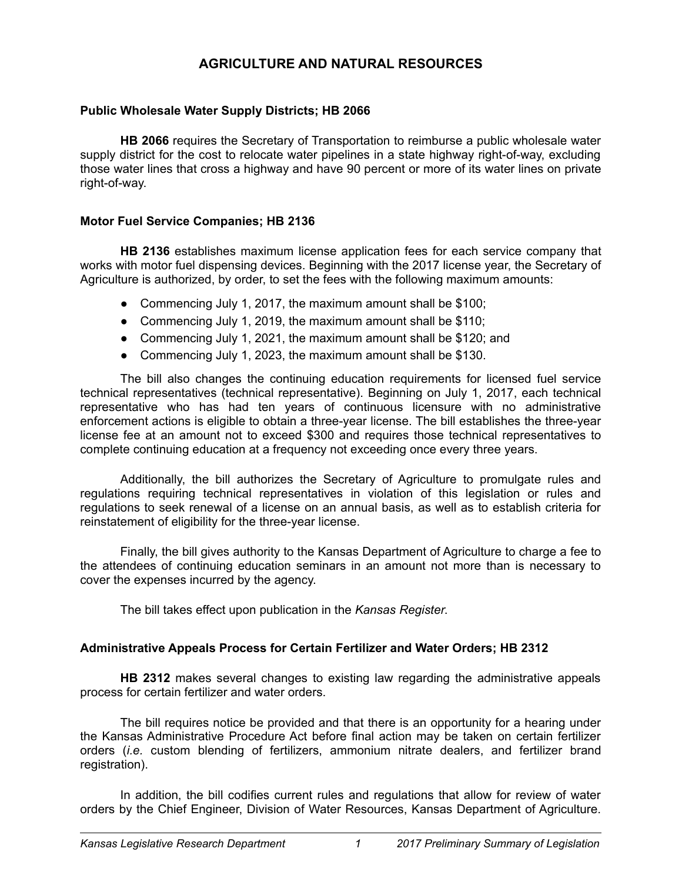# **AGRICULTURE AND NATURAL RESOURCES**

# **Public Wholesale Water Supply Districts; HB 2066**

**HB 2066** requires the Secretary of Transportation to reimburse a public wholesale water supply district for the cost to relocate water pipelines in a state highway right-of-way, excluding those water lines that cross a highway and have 90 percent or more of its water lines on private right-of-way.

# **Motor Fuel Service Companies; HB 2136**

**HB 2136** establishes maximum license application fees for each service company that works with motor fuel dispensing devices. Beginning with the 2017 license year, the Secretary of Agriculture is authorized, by order, to set the fees with the following maximum amounts:

- Commencing July 1, 2017, the maximum amount shall be \$100;
- Commencing July 1, 2019, the maximum amount shall be \$110;
- Commencing July 1, 2021, the maximum amount shall be \$120; and
- Commencing July 1, 2023, the maximum amount shall be \$130.

The bill also changes the continuing education requirements for licensed fuel service technical representatives (technical representative). Beginning on July 1, 2017, each technical representative who has had ten years of continuous licensure with no administrative enforcement actions is eligible to obtain a three-year license. The bill establishes the three-year license fee at an amount not to exceed \$300 and requires those technical representatives to complete continuing education at a frequency not exceeding once every three years.

Additionally, the bill authorizes the Secretary of Agriculture to promulgate rules and regulations requiring technical representatives in violation of this legislation or rules and regulations to seek renewal of a license on an annual basis, as well as to establish criteria for reinstatement of eligibility for the three-year license.

Finally, the bill gives authority to the Kansas Department of Agriculture to charge a fee to the attendees of continuing education seminars in an amount not more than is necessary to cover the expenses incurred by the agency.

The bill takes effect upon publication in the *Kansas Register*.

# **Administrative Appeals Process for Certain Fertilizer and Water Orders; HB 2312**

**HB 2312** makes several changes to existing law regarding the administrative appeals process for certain fertilizer and water orders.

The bill requires notice be provided and that there is an opportunity for a hearing under the Kansas Administrative Procedure Act before final action may be taken on certain fertilizer orders (*i.e.* custom blending of fertilizers, ammonium nitrate dealers, and fertilizer brand registration).

In addition, the bill codifies current rules and regulations that allow for review of water orders by the Chief Engineer, Division of Water Resources, Kansas Department of Agriculture.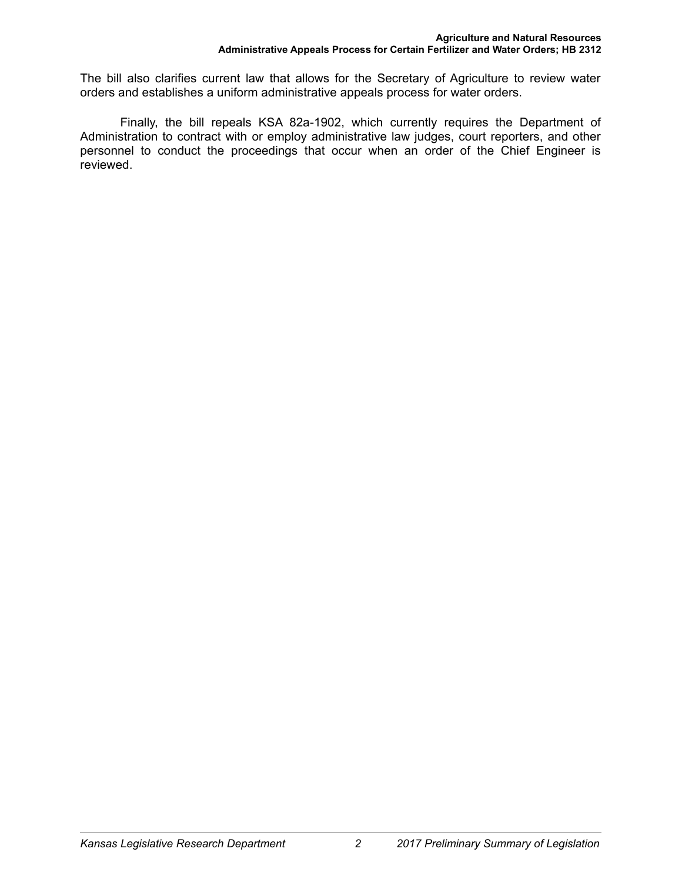The bill also clarifies current law that allows for the Secretary of Agriculture to review water orders and establishes a uniform administrative appeals process for water orders.

Finally, the bill repeals KSA 82a-1902, which currently requires the Department of Administration to contract with or employ administrative law judges, court reporters, and other personnel to conduct the proceedings that occur when an order of the Chief Engineer is reviewed.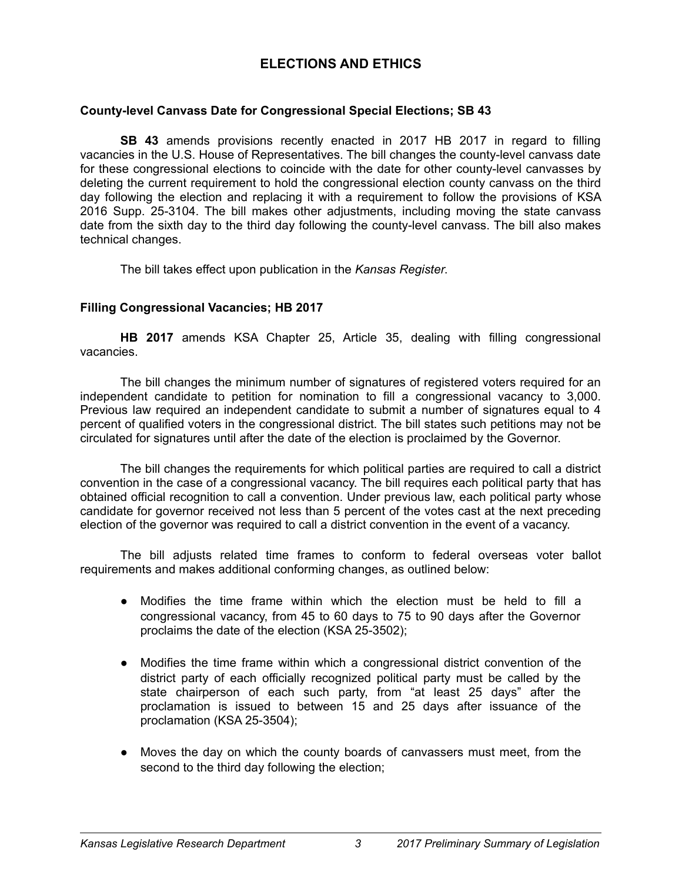# **ELECTIONS AND ETHICS**

### **County-level Canvass Date for Congressional Special Elections; SB 43**

**SB 43** amends provisions recently enacted in 2017 HB 2017 in regard to filling vacancies in the U.S. House of Representatives. The bill changes the county-level canvass date for these congressional elections to coincide with the date for other county-level canvasses by deleting the current requirement to hold the congressional election county canvass on the third day following the election and replacing it with a requirement to follow the provisions of KSA 2016 Supp. 25-3104. The bill makes other adjustments, including moving the state canvass date from the sixth day to the third day following the county-level canvass. The bill also makes technical changes.

The bill takes effect upon publication in the *Kansas Register*.

### **Filling Congressional Vacancies; HB 2017**

**HB 2017** amends KSA Chapter 25, Article 35, dealing with filling congressional vacancies.

The bill changes the minimum number of signatures of registered voters required for an independent candidate to petition for nomination to fill a congressional vacancy to 3,000. Previous law required an independent candidate to submit a number of signatures equal to 4 percent of qualified voters in the congressional district. The bill states such petitions may not be circulated for signatures until after the date of the election is proclaimed by the Governor.

The bill changes the requirements for which political parties are required to call a district convention in the case of a congressional vacancy. The bill requires each political party that has obtained official recognition to call a convention. Under previous law, each political party whose candidate for governor received not less than 5 percent of the votes cast at the next preceding election of the governor was required to call a district convention in the event of a vacancy.

The bill adjusts related time frames to conform to federal overseas voter ballot requirements and makes additional conforming changes, as outlined below:

- Modifies the time frame within which the election must be held to fill a congressional vacancy, from 45 to 60 days to 75 to 90 days after the Governor proclaims the date of the election (KSA 25-3502);
- Modifies the time frame within which a congressional district convention of the district party of each officially recognized political party must be called by the state chairperson of each such party, from "at least 25 days" after the proclamation is issued to between 15 and 25 days after issuance of the proclamation (KSA 25-3504);
- Moves the day on which the county boards of canvassers must meet, from the second to the third day following the election;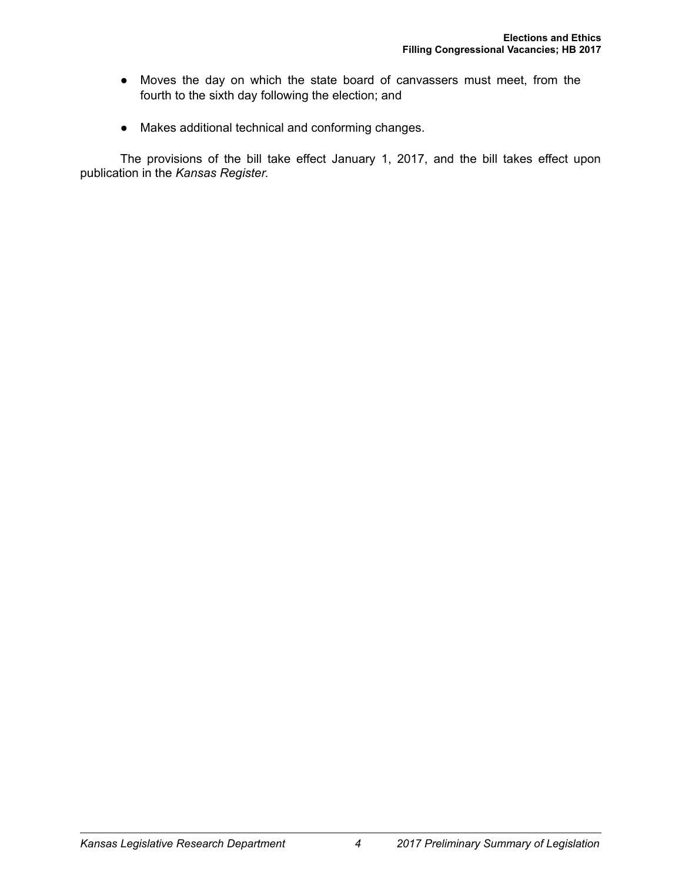- Moves the day on which the state board of canvassers must meet, from the fourth to the sixth day following the election; and
- Makes additional technical and conforming changes.

The provisions of the bill take effect January 1, 2017, and the bill takes effect upon publication in the *Kansas Register*.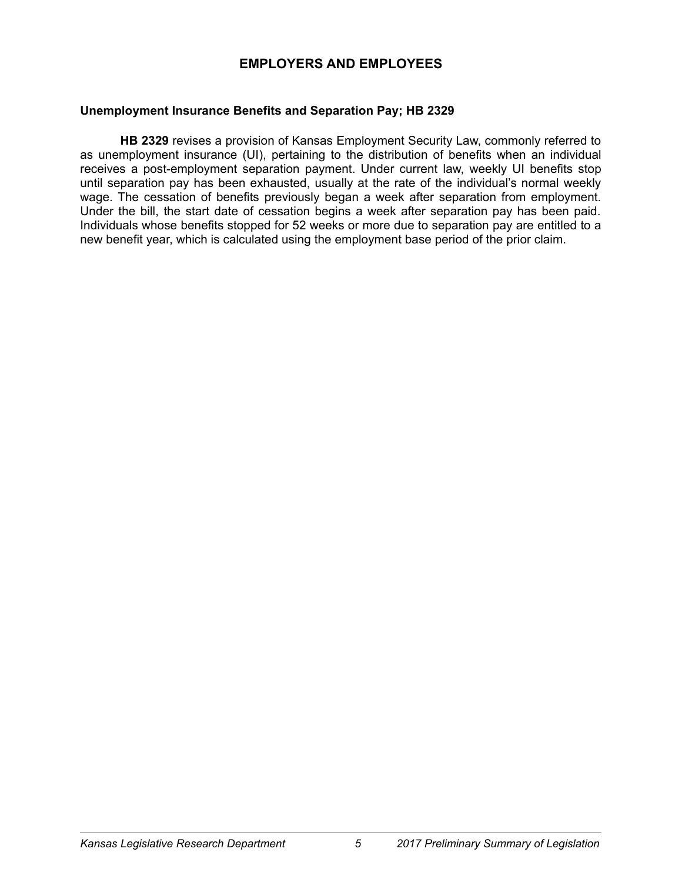# **EMPLOYERS AND EMPLOYEES**

### **Unemployment Insurance Benefits and Separation Pay; HB 2329**

**HB 2329** revises a provision of Kansas Employment Security Law, commonly referred to as unemployment insurance (UI), pertaining to the distribution of benefits when an individual receives a post-employment separation payment. Under current law, weekly UI benefits stop until separation pay has been exhausted, usually at the rate of the individual's normal weekly wage. The cessation of benefits previously began a week after separation from employment. Under the bill, the start date of cessation begins a week after separation pay has been paid. Individuals whose benefits stopped for 52 weeks or more due to separation pay are entitled to a new benefit year, which is calculated using the employment base period of the prior claim.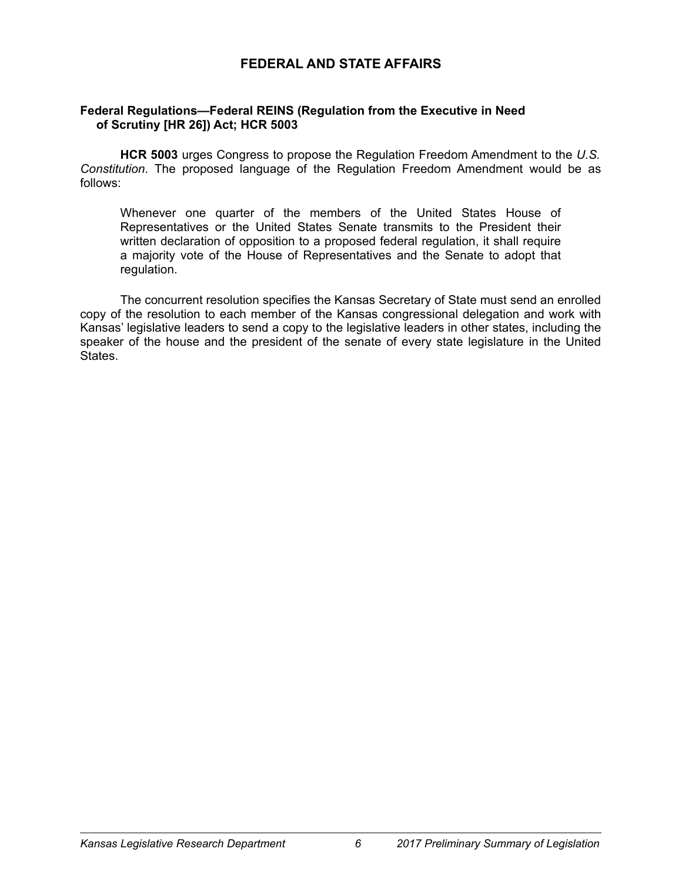# **FEDERAL AND STATE AFFAIRS**

# **Federal Regulations—Federal REINS (Regulation from the Executive in Need of Scrutiny [HR 26]) Act; HCR 5003**

**HCR 5003** urges Congress to propose the Regulation Freedom Amendment to the *U.S. Constitution*. The proposed language of the Regulation Freedom Amendment would be as follows:

Whenever one quarter of the members of the United States House of Representatives or the United States Senate transmits to the President their written declaration of opposition to a proposed federal regulation, it shall require a majority vote of the House of Representatives and the Senate to adopt that regulation.

The concurrent resolution specifies the Kansas Secretary of State must send an enrolled copy of the resolution to each member of the Kansas congressional delegation and work with Kansas' legislative leaders to send a copy to the legislative leaders in other states, including the speaker of the house and the president of the senate of every state legislature in the United States.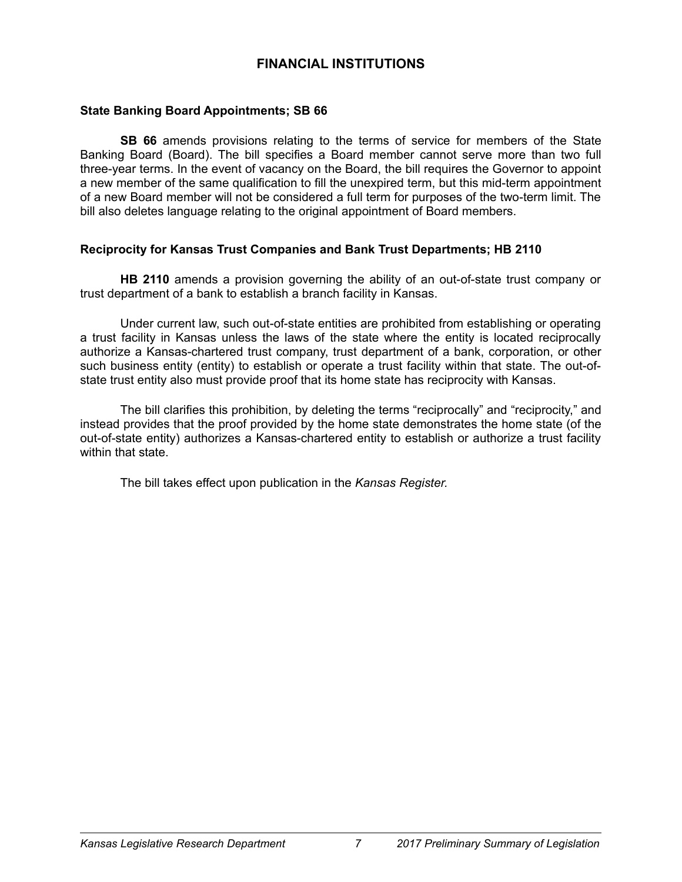# **FINANCIAL INSTITUTIONS**

### **State Banking Board Appointments; SB 66**

**SB 66** amends provisions relating to the terms of service for members of the State Banking Board (Board). The bill specifies a Board member cannot serve more than two full three-year terms. In the event of vacancy on the Board, the bill requires the Governor to appoint a new member of the same qualification to fill the unexpired term, but this mid-term appointment of a new Board member will not be considered a full term for purposes of the two-term limit. The bill also deletes language relating to the original appointment of Board members.

### **Reciprocity for Kansas Trust Companies and Bank Trust Departments; HB 2110**

**HB 2110** amends a provision governing the ability of an out-of-state trust company or trust department of a bank to establish a branch facility in Kansas.

Under current law, such out-of-state entities are prohibited from establishing or operating a trust facility in Kansas unless the laws of the state where the entity is located reciprocally authorize a Kansas-chartered trust company, trust department of a bank, corporation, or other such business entity (entity) to establish or operate a trust facility within that state. The out-ofstate trust entity also must provide proof that its home state has reciprocity with Kansas.

The bill clarifies this prohibition, by deleting the terms "reciprocally" and "reciprocity," and instead provides that the proof provided by the home state demonstrates the home state (of the out-of-state entity) authorizes a Kansas-chartered entity to establish or authorize a trust facility within that state.

The bill takes effect upon publication in the *Kansas Register.*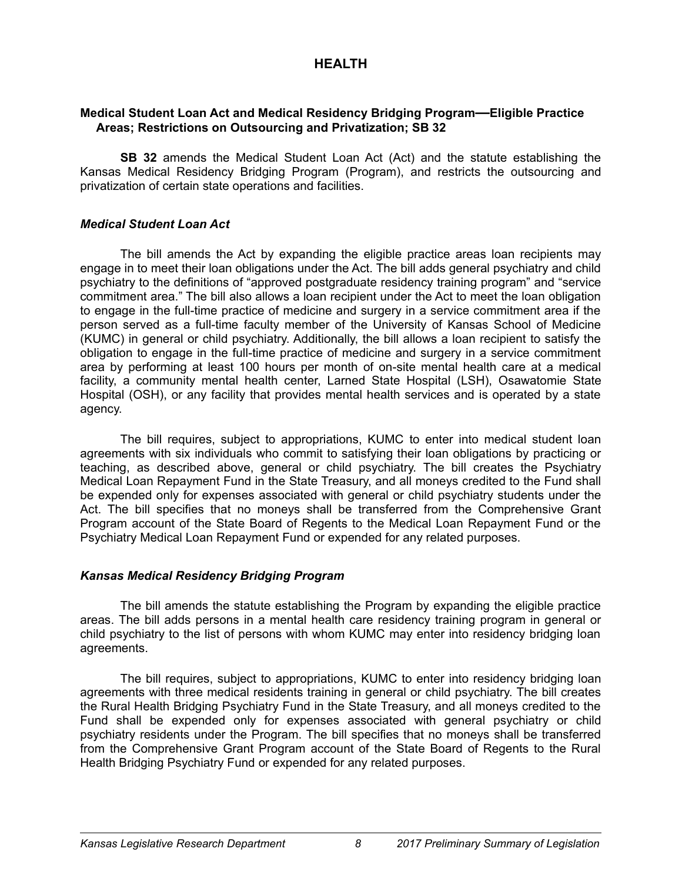# **HEALTH**

# **Medical Student Loan Act and Medical Residency Bridging Program—Eligible Practice Areas; Restrictions on Outsourcing and Privatization; SB 32**

**SB 32** amends the Medical Student Loan Act (Act) and the statute establishing the Kansas Medical Residency Bridging Program (Program), and restricts the outsourcing and privatization of certain state operations and facilities.

# *Medical Student Loan Act*

The bill amends the Act by expanding the eligible practice areas loan recipients may engage in to meet their loan obligations under the Act. The bill adds general psychiatry and child psychiatry to the definitions of "approved postgraduate residency training program" and "service commitment area." The bill also allows a loan recipient under the Act to meet the loan obligation to engage in the full-time practice of medicine and surgery in a service commitment area if the person served as a full-time faculty member of the University of Kansas School of Medicine (KUMC) in general or child psychiatry. Additionally, the bill allows a loan recipient to satisfy the obligation to engage in the full-time practice of medicine and surgery in a service commitment area by performing at least 100 hours per month of on-site mental health care at a medical facility, a community mental health center, Larned State Hospital (LSH), Osawatomie State Hospital (OSH), or any facility that provides mental health services and is operated by a state agency.

The bill requires, subject to appropriations, KUMC to enter into medical student loan agreements with six individuals who commit to satisfying their loan obligations by practicing or teaching, as described above, general or child psychiatry. The bill creates the Psychiatry Medical Loan Repayment Fund in the State Treasury, and all moneys credited to the Fund shall be expended only for expenses associated with general or child psychiatry students under the Act. The bill specifies that no moneys shall be transferred from the Comprehensive Grant Program account of the State Board of Regents to the Medical Loan Repayment Fund or the Psychiatry Medical Loan Repayment Fund or expended for any related purposes.

# *Kansas Medical Residency Bridging Program*

The bill amends the statute establishing the Program by expanding the eligible practice areas. The bill adds persons in a mental health care residency training program in general or child psychiatry to the list of persons with whom KUMC may enter into residency bridging loan agreements.

The bill requires, subject to appropriations, KUMC to enter into residency bridging loan agreements with three medical residents training in general or child psychiatry. The bill creates the Rural Health Bridging Psychiatry Fund in the State Treasury, and all moneys credited to the Fund shall be expended only for expenses associated with general psychiatry or child psychiatry residents under the Program. The bill specifies that no moneys shall be transferred from the Comprehensive Grant Program account of the State Board of Regents to the Rural Health Bridging Psychiatry Fund or expended for any related purposes.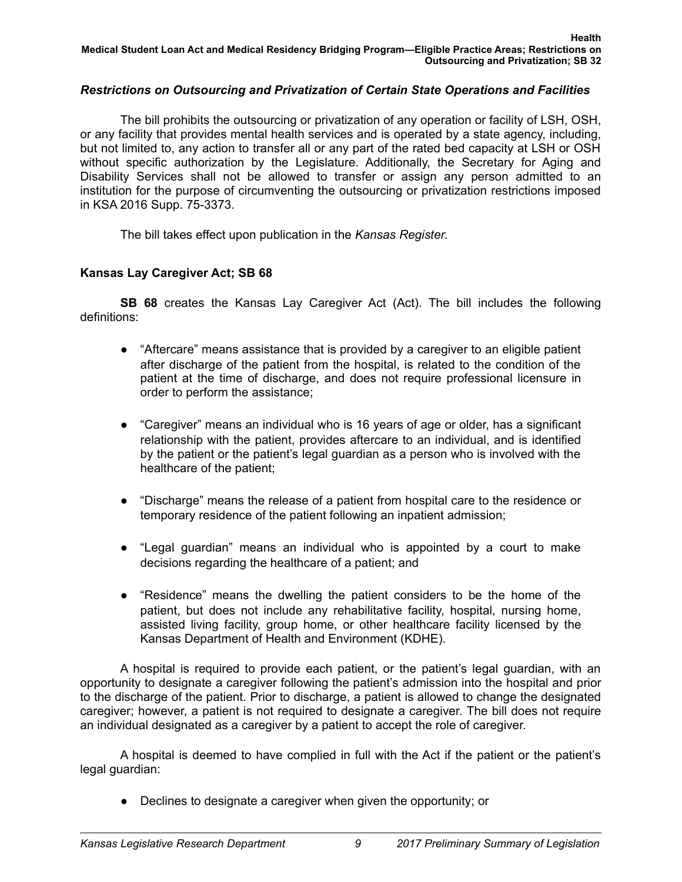# *Restrictions on Outsourcing and Privatization of Certain State Operations and Facilities*

The bill prohibits the outsourcing or privatization of any operation or facility of LSH, OSH, or any facility that provides mental health services and is operated by a state agency, including, but not limited to, any action to transfer all or any part of the rated bed capacity at LSH or OSH without specific authorization by the Legislature. Additionally, the Secretary for Aging and Disability Services shall not be allowed to transfer or assign any person admitted to an institution for the purpose of circumventing the outsourcing or privatization restrictions imposed in KSA 2016 Supp. 75-3373.

The bill takes effect upon publication in the *Kansas Register*.

# **Kansas Lay Caregiver Act; SB 68**

**SB 68** creates the Kansas Lay Caregiver Act (Act). The bill includes the following definitions:

- "Aftercare" means assistance that is provided by a caregiver to an eligible patient after discharge of the patient from the hospital, is related to the condition of the patient at the time of discharge, and does not require professional licensure in order to perform the assistance;
- "Caregiver" means an individual who is 16 years of age or older, has a significant relationship with the patient, provides aftercare to an individual, and is identified by the patient or the patient's legal guardian as a person who is involved with the healthcare of the patient;
- "Discharge" means the release of a patient from hospital care to the residence or temporary residence of the patient following an inpatient admission;
- "Legal guardian" means an individual who is appointed by a court to make decisions regarding the healthcare of a patient; and
- "Residence" means the dwelling the patient considers to be the home of the patient, but does not include any rehabilitative facility, hospital, nursing home, assisted living facility, group home, or other healthcare facility licensed by the Kansas Department of Health and Environment (KDHE).

A hospital is required to provide each patient, or the patient's legal guardian, with an opportunity to designate a caregiver following the patient's admission into the hospital and prior to the discharge of the patient. Prior to discharge, a patient is allowed to change the designated caregiver; however, a patient is not required to designate a caregiver. The bill does not require an individual designated as a caregiver by a patient to accept the role of caregiver.

A hospital is deemed to have complied in full with the Act if the patient or the patient's legal guardian:

● Declines to designate a caregiver when given the opportunity; or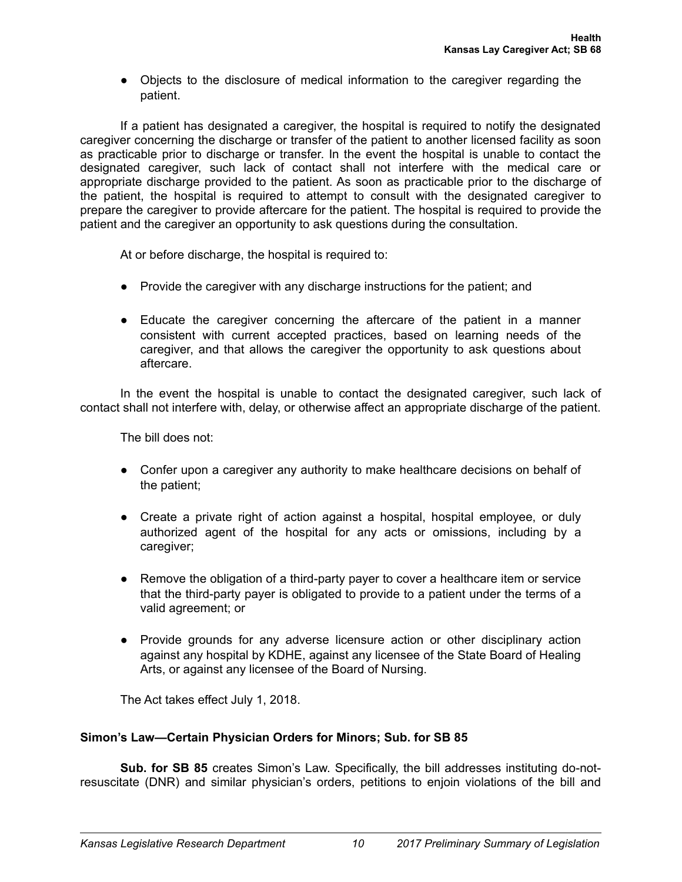● Objects to the disclosure of medical information to the caregiver regarding the patient.

If a patient has designated a caregiver, the hospital is required to notify the designated caregiver concerning the discharge or transfer of the patient to another licensed facility as soon as practicable prior to discharge or transfer. In the event the hospital is unable to contact the designated caregiver, such lack of contact shall not interfere with the medical care or appropriate discharge provided to the patient. As soon as practicable prior to the discharge of the patient, the hospital is required to attempt to consult with the designated caregiver to prepare the caregiver to provide aftercare for the patient. The hospital is required to provide the patient and the caregiver an opportunity to ask questions during the consultation.

At or before discharge, the hospital is required to:

- Provide the caregiver with any discharge instructions for the patient; and
- Educate the caregiver concerning the aftercare of the patient in a manner consistent with current accepted practices, based on learning needs of the caregiver, and that allows the caregiver the opportunity to ask questions about aftercare.

In the event the hospital is unable to contact the designated caregiver, such lack of contact shall not interfere with, delay, or otherwise affect an appropriate discharge of the patient.

The bill does not:

- Confer upon a caregiver any authority to make healthcare decisions on behalf of the patient;
- Create a private right of action against a hospital, hospital employee, or duly authorized agent of the hospital for any acts or omissions, including by a caregiver;
- Remove the obligation of a third-party payer to cover a healthcare item or service that the third-party payer is obligated to provide to a patient under the terms of a valid agreement; or
- Provide grounds for any adverse licensure action or other disciplinary action against any hospital by KDHE, against any licensee of the State Board of Healing Arts, or against any licensee of the Board of Nursing.

The Act takes effect July 1, 2018.

# **Simon's Law—Certain Physician Orders for Minors; Sub. for SB 85**

**Sub. for SB 85** creates Simon's Law. Specifically, the bill addresses instituting do-notresuscitate (DNR) and similar physician's orders, petitions to enjoin violations of the bill and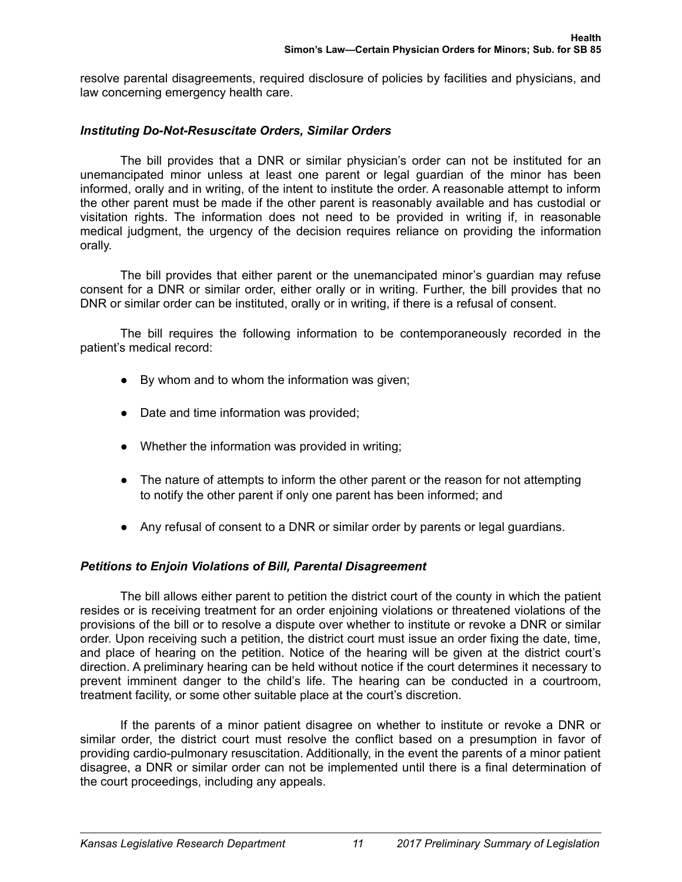resolve parental disagreements, required disclosure of policies by facilities and physicians, and law concerning emergency health care.

# *Instituting Do-Not-Resuscitate Orders, Similar Orders*

The bill provides that a DNR or similar physician's order can not be instituted for an unemancipated minor unless at least one parent or legal guardian of the minor has been informed, orally and in writing, of the intent to institute the order. A reasonable attempt to inform the other parent must be made if the other parent is reasonably available and has custodial or visitation rights. The information does not need to be provided in writing if, in reasonable medical judgment, the urgency of the decision requires reliance on providing the information orally.

The bill provides that either parent or the unemancipated minor's guardian may refuse consent for a DNR or similar order, either orally or in writing. Further, the bill provides that no DNR or similar order can be instituted, orally or in writing, if there is a refusal of consent.

The bill requires the following information to be contemporaneously recorded in the patient's medical record:

- By whom and to whom the information was given;
- Date and time information was provided;
- Whether the information was provided in writing;
- The nature of attempts to inform the other parent or the reason for not attempting to notify the other parent if only one parent has been informed; and
- Any refusal of consent to a DNR or similar order by parents or legal guardians.

# *Petitions to Enjoin Violations of Bill, Parental Disagreement*

The bill allows either parent to petition the district court of the county in which the patient resides or is receiving treatment for an order enjoining violations or threatened violations of the provisions of the bill or to resolve a dispute over whether to institute or revoke a DNR or similar order. Upon receiving such a petition, the district court must issue an order fixing the date, time, and place of hearing on the petition. Notice of the hearing will be given at the district court's direction. A preliminary hearing can be held without notice if the court determines it necessary to prevent imminent danger to the child's life. The hearing can be conducted in a courtroom, treatment facility, or some other suitable place at the court's discretion.

If the parents of a minor patient disagree on whether to institute or revoke a DNR or similar order, the district court must resolve the conflict based on a presumption in favor of providing cardio-pulmonary resuscitation. Additionally, in the event the parents of a minor patient disagree, a DNR or similar order can not be implemented until there is a final determination of the court proceedings, including any appeals.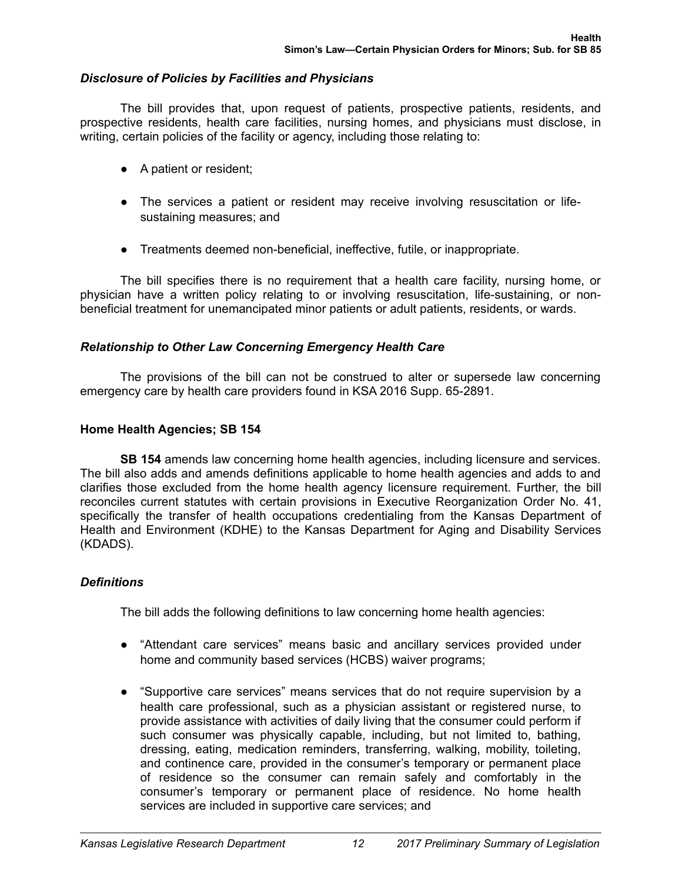# *Disclosure of Policies by Facilities and Physicians*

The bill provides that, upon request of patients, prospective patients, residents, and prospective residents, health care facilities, nursing homes, and physicians must disclose, in writing, certain policies of the facility or agency, including those relating to:

- A patient or resident;
- The services a patient or resident may receive involving resuscitation or lifesustaining measures; and
- Treatments deemed non-beneficial, ineffective, futile, or inappropriate.

The bill specifies there is no requirement that a health care facility, nursing home, or physician have a written policy relating to or involving resuscitation, life-sustaining, or nonbeneficial treatment for unemancipated minor patients or adult patients, residents, or wards.

# *Relationship to Other Law Concerning Emergency Health Care*

The provisions of the bill can not be construed to alter or supersede law concerning emergency care by health care providers found in KSA 2016 Supp. 65-2891.

# **Home Health Agencies; SB 154**

**SB 154** amends law concerning home health agencies, including licensure and services. The bill also adds and amends definitions applicable to home health agencies and adds to and clarifies those excluded from the home health agency licensure requirement. Further, the bill reconciles current statutes with certain provisions in Executive Reorganization Order No. 41, specifically the transfer of health occupations credentialing from the Kansas Department of Health and Environment (KDHE) to the Kansas Department for Aging and Disability Services (KDADS).

# *Definitions*

The bill adds the following definitions to law concerning home health agencies:

- "Attendant care services" means basic and ancillary services provided under home and community based services (HCBS) waiver programs;
- "Supportive care services" means services that do not require supervision by a health care professional, such as a physician assistant or registered nurse, to provide assistance with activities of daily living that the consumer could perform if such consumer was physically capable, including, but not limited to, bathing, dressing, eating, medication reminders, transferring, walking, mobility, toileting, and continence care, provided in the consumer's temporary or permanent place of residence so the consumer can remain safely and comfortably in the consumer's temporary or permanent place of residence. No home health services are included in supportive care services; and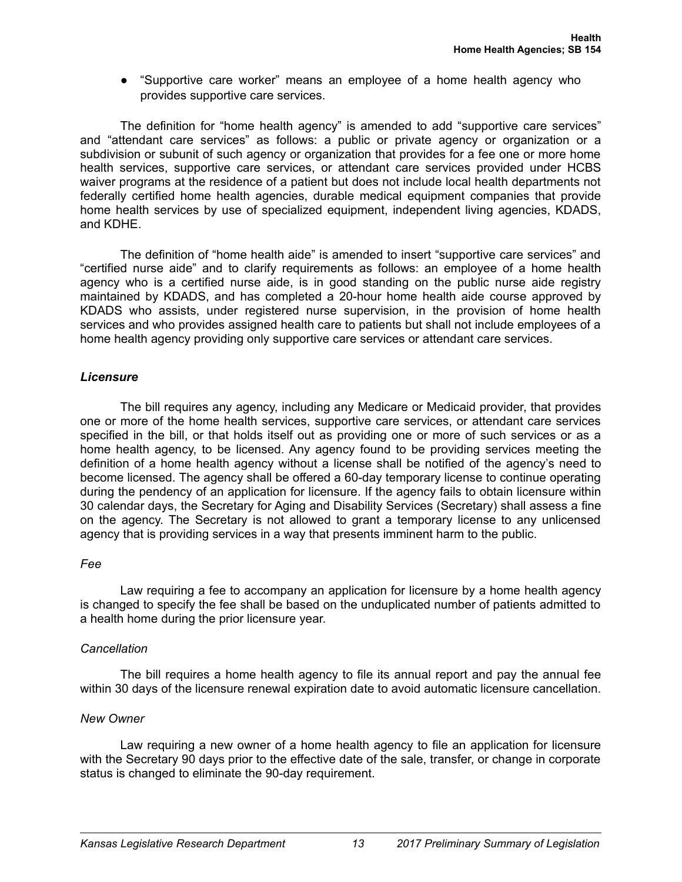● "Supportive care worker" means an employee of a home health agency who provides supportive care services.

The definition for "home health agency" is amended to add "supportive care services" and "attendant care services" as follows: a public or private agency or organization or a subdivision or subunit of such agency or organization that provides for a fee one or more home health services, supportive care services, or attendant care services provided under HCBS waiver programs at the residence of a patient but does not include local health departments not federally certified home health agencies, durable medical equipment companies that provide home health services by use of specialized equipment, independent living agencies, KDADS, and KDHE.

The definition of "home health aide" is amended to insert "supportive care services" and "certified nurse aide" and to clarify requirements as follows: an employee of a home health agency who is a certified nurse aide, is in good standing on the public nurse aide registry maintained by KDADS, and has completed a 20-hour home health aide course approved by KDADS who assists, under registered nurse supervision, in the provision of home health services and who provides assigned health care to patients but shall not include employees of a home health agency providing only supportive care services or attendant care services.

# *Licensure*

The bill requires any agency, including any Medicare or Medicaid provider, that provides one or more of the home health services, supportive care services, or attendant care services specified in the bill, or that holds itself out as providing one or more of such services or as a home health agency, to be licensed. Any agency found to be providing services meeting the definition of a home health agency without a license shall be notified of the agency's need to become licensed. The agency shall be offered a 60-day temporary license to continue operating during the pendency of an application for licensure. If the agency fails to obtain licensure within 30 calendar days, the Secretary for Aging and Disability Services (Secretary) shall assess a fine on the agency. The Secretary is not allowed to grant a temporary license to any unlicensed agency that is providing services in a way that presents imminent harm to the public.

# *Fee*

Law requiring a fee to accompany an application for licensure by a home health agency is changed to specify the fee shall be based on the unduplicated number of patients admitted to a health home during the prior licensure year.

# *Cancellation*

The bill requires a home health agency to file its annual report and pay the annual fee within 30 days of the licensure renewal expiration date to avoid automatic licensure cancellation.

# *New Owner*

Law requiring a new owner of a home health agency to file an application for licensure with the Secretary 90 days prior to the effective date of the sale, transfer, or change in corporate status is changed to eliminate the 90-day requirement.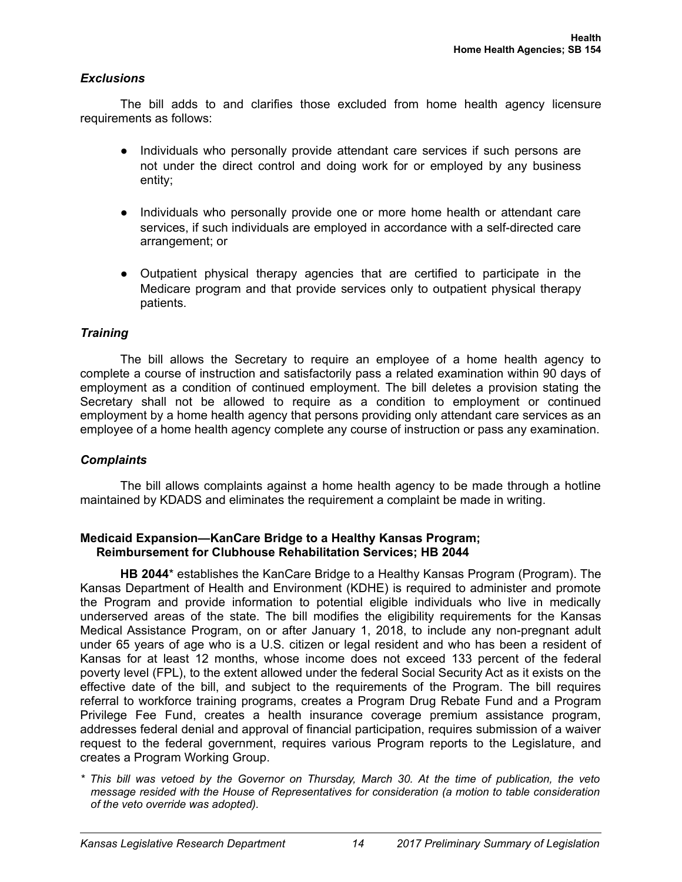### *Exclusions*

The bill adds to and clarifies those excluded from home health agency licensure requirements as follows:

- Individuals who personally provide attendant care services if such persons are not under the direct control and doing work for or employed by any business entity;
- Individuals who personally provide one or more home health or attendant care services, if such individuals are employed in accordance with a self-directed care arrangement; or
- Outpatient physical therapy agencies that are certified to participate in the Medicare program and that provide services only to outpatient physical therapy patients.

### *Training*

The bill allows the Secretary to require an employee of a home health agency to complete a course of instruction and satisfactorily pass a related examination within 90 days of employment as a condition of continued employment. The bill deletes a provision stating the Secretary shall not be allowed to require as a condition to employment or continued employment by a home health agency that persons providing only attendant care services as an employee of a home health agency complete any course of instruction or pass any examination.

#### *Complaints*

The bill allows complaints against a home health agency to be made through a hotline maintained by KDADS and eliminates the requirement a complaint be made in writing.

### **Medicaid Expansion—KanCare Bridge to a Healthy Kansas Program; Reimbursement for Clubhouse Rehabilitation Services; HB 2044**

**HB 2044**\* establishes the KanCare Bridge to a Healthy Kansas Program (Program). The Kansas Department of Health and Environment (KDHE) is required to administer and promote the Program and provide information to potential eligible individuals who live in medically underserved areas of the state. The bill modifies the eligibility requirements for the Kansas Medical Assistance Program, on or after January 1, 2018, to include any non-pregnant adult under 65 years of age who is a U.S. citizen or legal resident and who has been a resident of Kansas for at least 12 months, whose income does not exceed 133 percent of the federal poverty level (FPL), to the extent allowed under the federal Social Security Act as it exists on the effective date of the bill, and subject to the requirements of the Program. The bill requires referral to workforce training programs, creates a Program Drug Rebate Fund and a Program Privilege Fee Fund, creates a health insurance coverage premium assistance program, addresses federal denial and approval of financial participation, requires submission of a waiver request to the federal government, requires various Program reports to the Legislature, and creates a Program Working Group.

*\* This bill was vetoed by the Governor on Thursday, March 30. At the time of publication, the veto message resided with the House of Representatives for consideration (a motion to table consideration of the veto override was adopted).*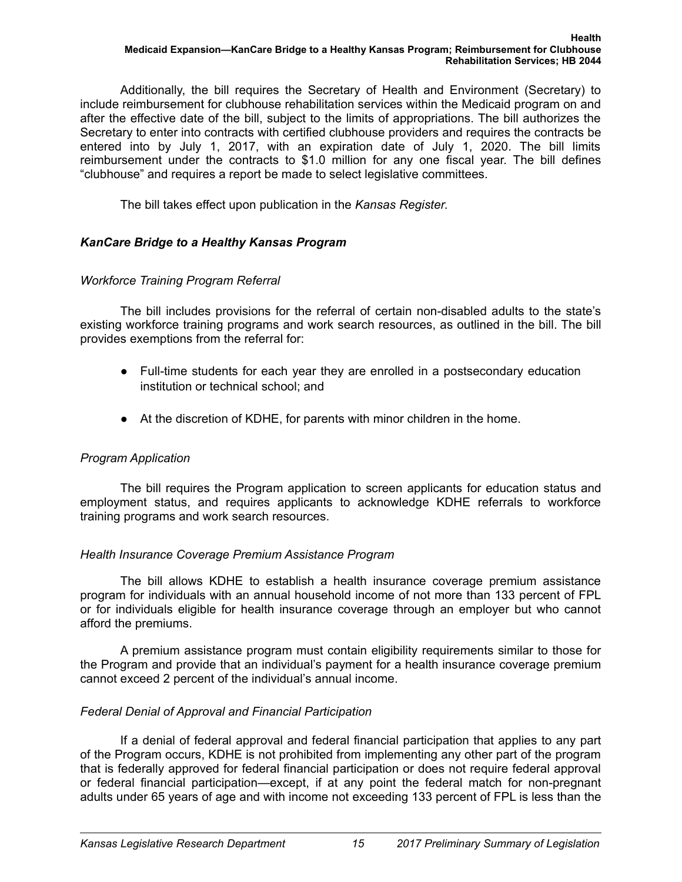Additionally, the bill requires the Secretary of Health and Environment (Secretary) to include reimbursement for clubhouse rehabilitation services within the Medicaid program on and after the effective date of the bill, subject to the limits of appropriations. The bill authorizes the Secretary to enter into contracts with certified clubhouse providers and requires the contracts be entered into by July 1, 2017, with an expiration date of July 1, 2020. The bill limits reimbursement under the contracts to \$1.0 million for any one fiscal year. The bill defines "clubhouse" and requires a report be made to select legislative committees.

The bill takes effect upon publication in the *Kansas Register*.

# *KanCare Bridge to a Healthy Kansas Program*

# *Workforce Training Program Referral*

The bill includes provisions for the referral of certain non-disabled adults to the state's existing workforce training programs and work search resources, as outlined in the bill. The bill provides exemptions from the referral for:

- Full-time students for each year they are enrolled in a postsecondary education institution or technical school; and
- At the discretion of KDHE, for parents with minor children in the home.

# *Program Application*

The bill requires the Program application to screen applicants for education status and employment status, and requires applicants to acknowledge KDHE referrals to workforce training programs and work search resources.

# *Health Insurance Coverage Premium Assistance Program*

The bill allows KDHE to establish a health insurance coverage premium assistance program for individuals with an annual household income of not more than 133 percent of FPL or for individuals eligible for health insurance coverage through an employer but who cannot afford the premiums.

A premium assistance program must contain eligibility requirements similar to those for the Program and provide that an individual's payment for a health insurance coverage premium cannot exceed 2 percent of the individual's annual income.

# *Federal Denial of Approval and Financial Participation*

If a denial of federal approval and federal financial participation that applies to any part of the Program occurs, KDHE is not prohibited from implementing any other part of the program that is federally approved for federal financial participation or does not require federal approval or federal financial participation—except, if at any point the federal match for non-pregnant adults under 65 years of age and with income not exceeding 133 percent of FPL is less than the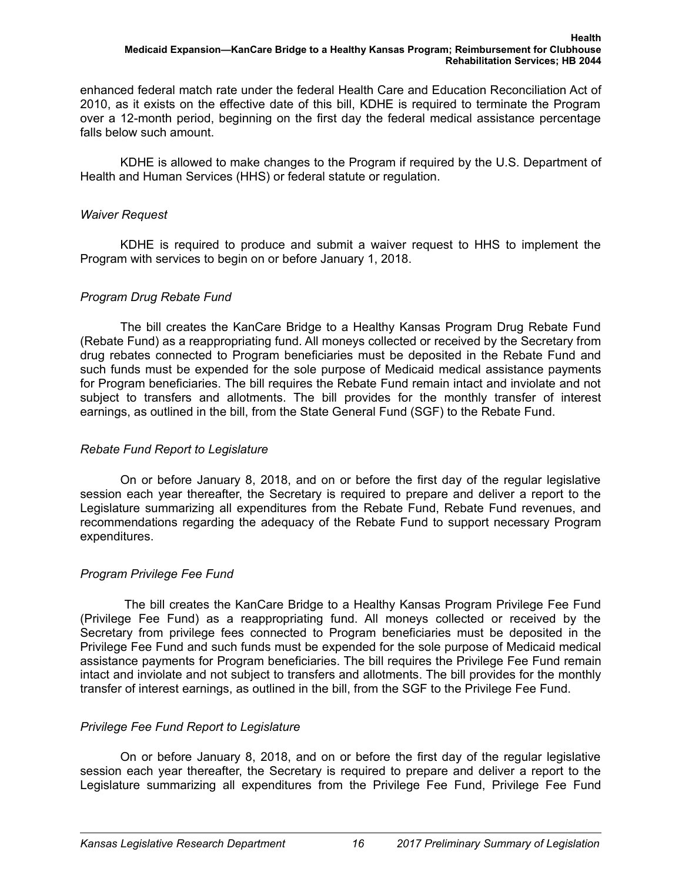enhanced federal match rate under the federal Health Care and Education Reconciliation Act of 2010, as it exists on the effective date of this bill, KDHE is required to terminate the Program over a 12-month period, beginning on the first day the federal medical assistance percentage falls below such amount.

KDHE is allowed to make changes to the Program if required by the U.S. Department of Health and Human Services (HHS) or federal statute or regulation.

# *Waiver Request*

KDHE is required to produce and submit a waiver request to HHS to implement the Program with services to begin on or before January 1, 2018.

# *Program Drug Rebate Fund*

The bill creates the KanCare Bridge to a Healthy Kansas Program Drug Rebate Fund (Rebate Fund) as a reappropriating fund. All moneys collected or received by the Secretary from drug rebates connected to Program beneficiaries must be deposited in the Rebate Fund and such funds must be expended for the sole purpose of Medicaid medical assistance payments for Program beneficiaries. The bill requires the Rebate Fund remain intact and inviolate and not subject to transfers and allotments. The bill provides for the monthly transfer of interest earnings, as outlined in the bill, from the State General Fund (SGF) to the Rebate Fund.

# *Rebate Fund Report to Legislature*

On or before January 8, 2018, and on or before the first day of the regular legislative session each year thereafter, the Secretary is required to prepare and deliver a report to the Legislature summarizing all expenditures from the Rebate Fund, Rebate Fund revenues, and recommendations regarding the adequacy of the Rebate Fund to support necessary Program expenditures.

# *Program Privilege Fee Fund*

 The bill creates the KanCare Bridge to a Healthy Kansas Program Privilege Fee Fund (Privilege Fee Fund) as a reappropriating fund. All moneys collected or received by the Secretary from privilege fees connected to Program beneficiaries must be deposited in the Privilege Fee Fund and such funds must be expended for the sole purpose of Medicaid medical assistance payments for Program beneficiaries. The bill requires the Privilege Fee Fund remain intact and inviolate and not subject to transfers and allotments. The bill provides for the monthly transfer of interest earnings, as outlined in the bill, from the SGF to the Privilege Fee Fund.

# *Privilege Fee Fund Report to Legislature*

On or before January 8, 2018, and on or before the first day of the regular legislative session each year thereafter, the Secretary is required to prepare and deliver a report to the Legislature summarizing all expenditures from the Privilege Fee Fund, Privilege Fee Fund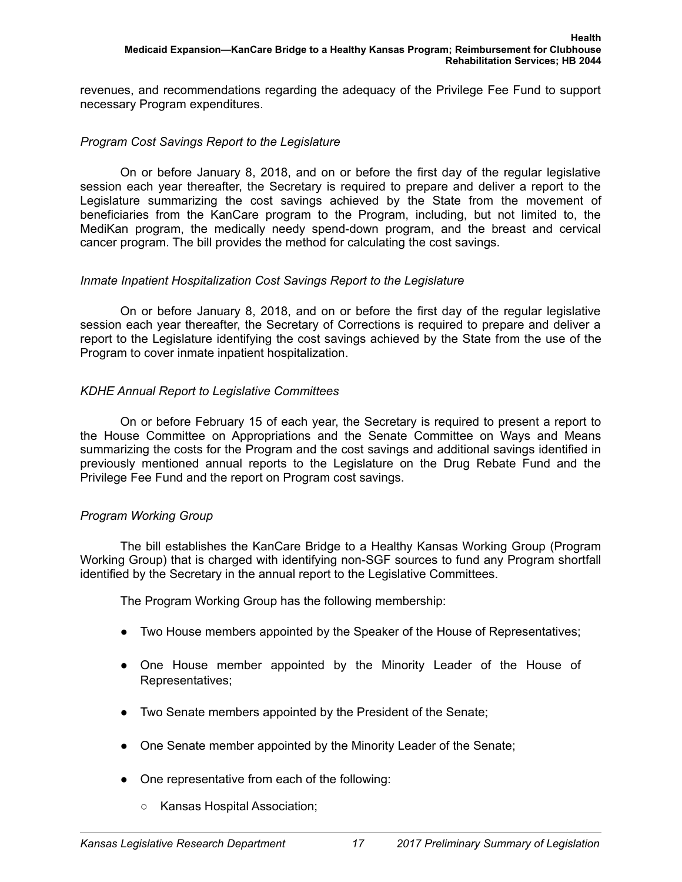revenues, and recommendations regarding the adequacy of the Privilege Fee Fund to support necessary Program expenditures.

# *Program Cost Savings Report to the Legislature*

On or before January 8, 2018, and on or before the first day of the regular legislative session each year thereafter, the Secretary is required to prepare and deliver a report to the Legislature summarizing the cost savings achieved by the State from the movement of beneficiaries from the KanCare program to the Program, including, but not limited to, the MediKan program, the medically needy spend-down program, and the breast and cervical cancer program. The bill provides the method for calculating the cost savings.

# *Inmate Inpatient Hospitalization Cost Savings Report to the Legislature*

On or before January 8, 2018, and on or before the first day of the regular legislative session each year thereafter, the Secretary of Corrections is required to prepare and deliver a report to the Legislature identifying the cost savings achieved by the State from the use of the Program to cover inmate inpatient hospitalization.

# *KDHE Annual Report to Legislative Committees*

On or before February 15 of each year, the Secretary is required to present a report to the House Committee on Appropriations and the Senate Committee on Ways and Means summarizing the costs for the Program and the cost savings and additional savings identified in previously mentioned annual reports to the Legislature on the Drug Rebate Fund and the Privilege Fee Fund and the report on Program cost savings.

# *Program Working Group*

The bill establishes the KanCare Bridge to a Healthy Kansas Working Group (Program Working Group) that is charged with identifying non-SGF sources to fund any Program shortfall identified by the Secretary in the annual report to the Legislative Committees.

The Program Working Group has the following membership:

- Two House members appointed by the Speaker of the House of Representatives;
- One House member appointed by the Minority Leader of the House of Representatives;
- Two Senate members appointed by the President of the Senate;
- One Senate member appointed by the Minority Leader of the Senate;
- One representative from each of the following:
	- Kansas Hospital Association;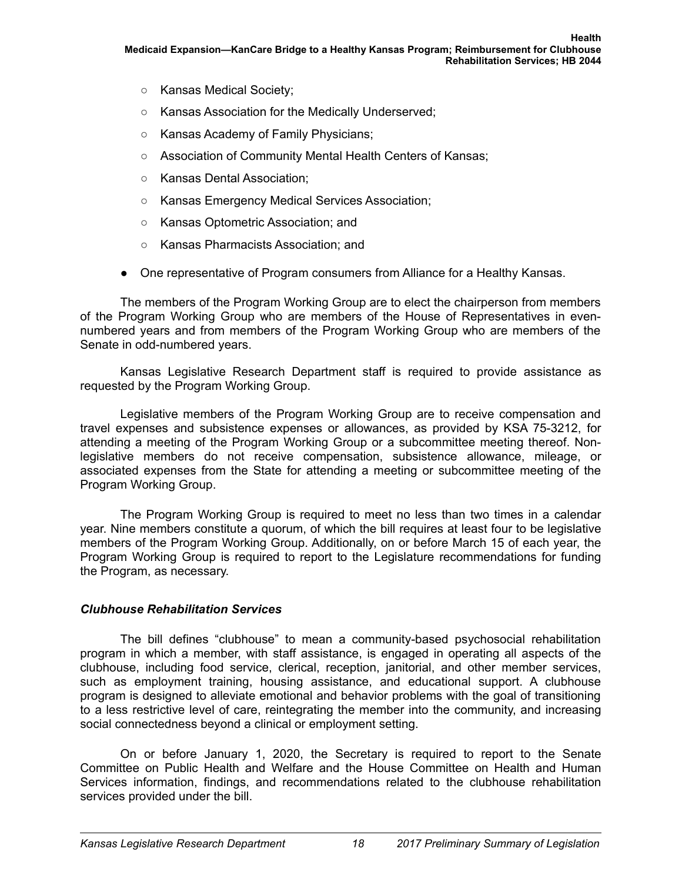- Kansas Medical Society;
- Kansas Association for the Medically Underserved;
- Kansas Academy of Family Physicians;
- Association of Community Mental Health Centers of Kansas;
- Kansas Dental Association;
- Kansas Emergency Medical Services Association;
- Kansas Optometric Association; and
- Kansas Pharmacists Association; and
- One representative of Program consumers from Alliance for a Healthy Kansas.

The members of the Program Working Group are to elect the chairperson from members of the Program Working Group who are members of the House of Representatives in evennumbered years and from members of the Program Working Group who are members of the Senate in odd-numbered years.

Kansas Legislative Research Department staff is required to provide assistance as requested by the Program Working Group.

Legislative members of the Program Working Group are to receive compensation and travel expenses and subsistence expenses or allowances, as provided by KSA 75-3212, for attending a meeting of the Program Working Group or a subcommittee meeting thereof. Nonlegislative members do not receive compensation, subsistence allowance, mileage, or associated expenses from the State for attending a meeting or subcommittee meeting of the Program Working Group.

The Program Working Group is required to meet no less than two times in a calendar year. Nine members constitute a quorum, of which the bill requires at least four to be legislative members of the Program Working Group. Additionally, on or before March 15 of each year, the Program Working Group is required to report to the Legislature recommendations for funding the Program, as necessary.

# *Clubhouse Rehabilitation Services*

The bill defines "clubhouse" to mean a community-based psychosocial rehabilitation program in which a member, with staff assistance, is engaged in operating all aspects of the clubhouse, including food service, clerical, reception, janitorial, and other member services, such as employment training, housing assistance, and educational support. A clubhouse program is designed to alleviate emotional and behavior problems with the goal of transitioning to a less restrictive level of care, reintegrating the member into the community, and increasing social connectedness beyond a clinical or employment setting.

On or before January 1, 2020, the Secretary is required to report to the Senate Committee on Public Health and Welfare and the House Committee on Health and Human Services information, findings, and recommendations related to the clubhouse rehabilitation services provided under the bill.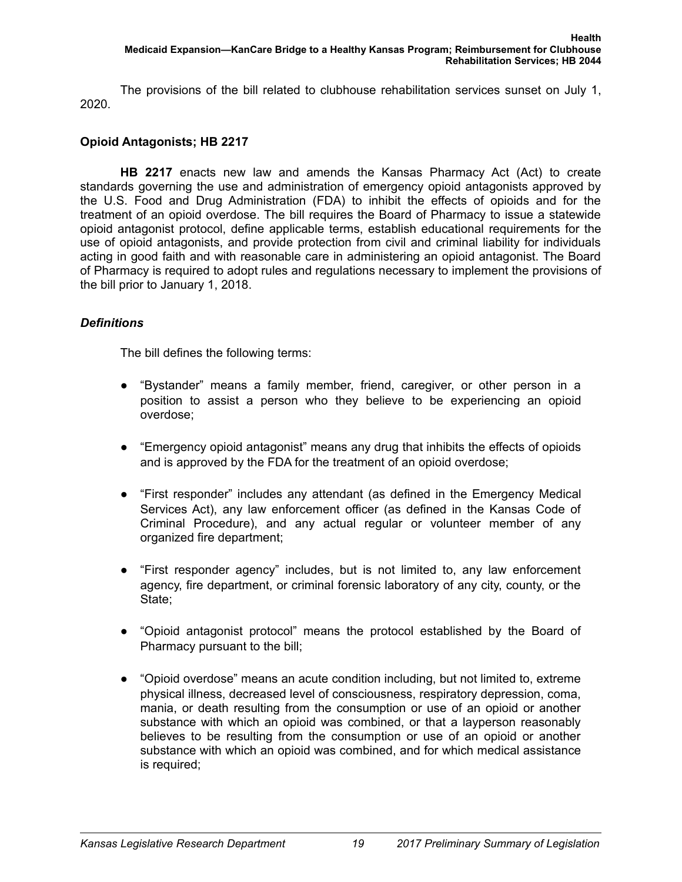The provisions of the bill related to clubhouse rehabilitation services sunset on July 1, 2020.

# **Opioid Antagonists; HB 2217**

**HB 2217** enacts new law and amends the Kansas Pharmacy Act (Act) to create standards governing the use and administration of emergency opioid antagonists approved by the U.S. Food and Drug Administration (FDA) to inhibit the effects of opioids and for the treatment of an opioid overdose. The bill requires the Board of Pharmacy to issue a statewide opioid antagonist protocol, define applicable terms, establish educational requirements for the use of opioid antagonists, and provide protection from civil and criminal liability for individuals acting in good faith and with reasonable care in administering an opioid antagonist. The Board of Pharmacy is required to adopt rules and regulations necessary to implement the provisions of the bill prior to January 1, 2018.

### *Definitions*

The bill defines the following terms:

- "Bystander" means a family member, friend, caregiver, or other person in a position to assist a person who they believe to be experiencing an opioid overdose;
- "Emergency opioid antagonist" means any drug that inhibits the effects of opioids and is approved by the FDA for the treatment of an opioid overdose;
- "First responder" includes any attendant (as defined in the Emergency Medical Services Act), any law enforcement officer (as defined in the Kansas Code of Criminal Procedure), and any actual regular or volunteer member of any organized fire department;
- "First responder agency" includes, but is not limited to, any law enforcement agency, fire department, or criminal forensic laboratory of any city, county, or the State:
- "Opioid antagonist protocol" means the protocol established by the Board of Pharmacy pursuant to the bill;
- "Opioid overdose" means an acute condition including, but not limited to, extreme physical illness, decreased level of consciousness, respiratory depression, coma, mania, or death resulting from the consumption or use of an opioid or another substance with which an opioid was combined, or that a layperson reasonably believes to be resulting from the consumption or use of an opioid or another substance with which an opioid was combined, and for which medical assistance is required;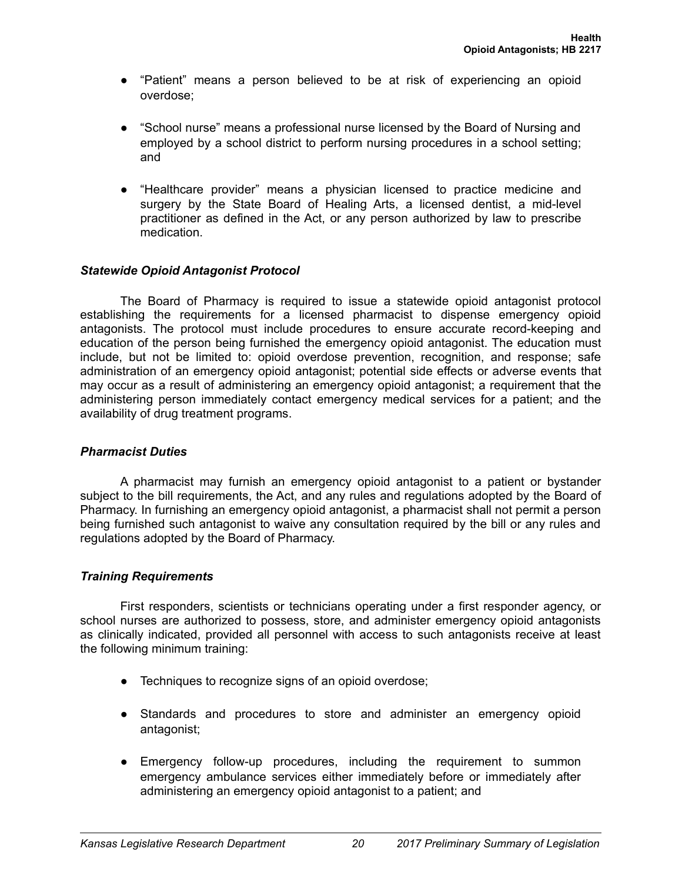- "Patient" means a person believed to be at risk of experiencing an opioid overdose;
- "School nurse" means a professional nurse licensed by the Board of Nursing and employed by a school district to perform nursing procedures in a school setting; and
- "Healthcare provider" means a physician licensed to practice medicine and surgery by the State Board of Healing Arts, a licensed dentist, a mid-level practitioner as defined in the Act, or any person authorized by law to prescribe medication.

# *Statewide Opioid Antagonist Protocol*

The Board of Pharmacy is required to issue a statewide opioid antagonist protocol establishing the requirements for a licensed pharmacist to dispense emergency opioid antagonists. The protocol must include procedures to ensure accurate record-keeping and education of the person being furnished the emergency opioid antagonist. The education must include, but not be limited to: opioid overdose prevention, recognition, and response; safe administration of an emergency opioid antagonist; potential side effects or adverse events that may occur as a result of administering an emergency opioid antagonist; a requirement that the administering person immediately contact emergency medical services for a patient; and the availability of drug treatment programs.

# *Pharmacist Duties*

A pharmacist may furnish an emergency opioid antagonist to a patient or bystander subject to the bill requirements, the Act, and any rules and regulations adopted by the Board of Pharmacy. In furnishing an emergency opioid antagonist, a pharmacist shall not permit a person being furnished such antagonist to waive any consultation required by the bill or any rules and regulations adopted by the Board of Pharmacy.

# *Training Requirements*

First responders, scientists or technicians operating under a first responder agency, or school nurses are authorized to possess, store, and administer emergency opioid antagonists as clinically indicated, provided all personnel with access to such antagonists receive at least the following minimum training:

- Techniques to recognize signs of an opioid overdose;
- Standards and procedures to store and administer an emergency opioid antagonist;
- Emergency follow-up procedures, including the requirement to summon emergency ambulance services either immediately before or immediately after administering an emergency opioid antagonist to a patient; and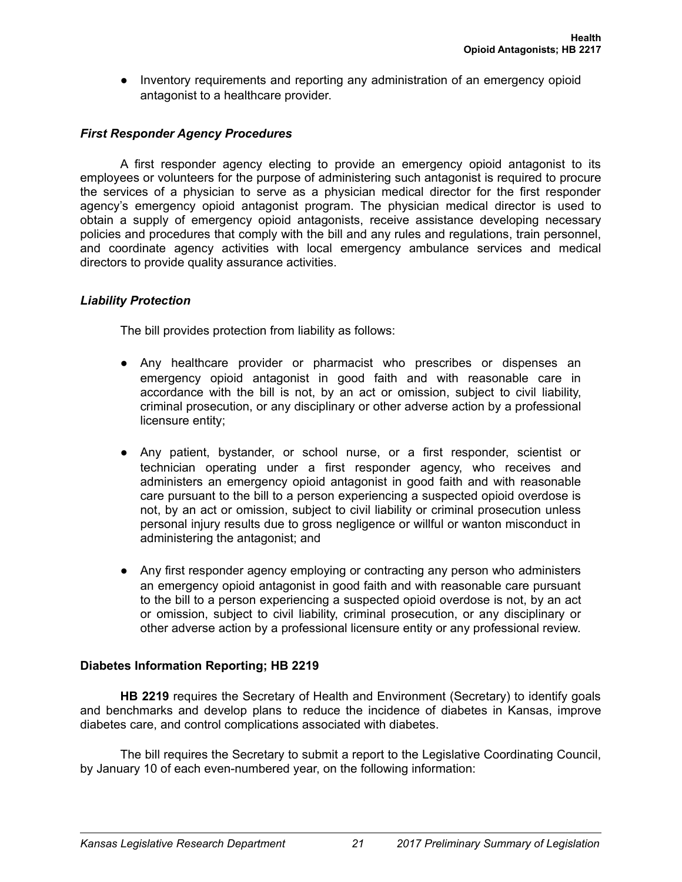● Inventory requirements and reporting any administration of an emergency opioid antagonist to a healthcare provider.

# *First Responder Agency Procedures*

A first responder agency electing to provide an emergency opioid antagonist to its employees or volunteers for the purpose of administering such antagonist is required to procure the services of a physician to serve as a physician medical director for the first responder agency's emergency opioid antagonist program. The physician medical director is used to obtain a supply of emergency opioid antagonists, receive assistance developing necessary policies and procedures that comply with the bill and any rules and regulations, train personnel, and coordinate agency activities with local emergency ambulance services and medical directors to provide quality assurance activities.

# *Liability Protection*

The bill provides protection from liability as follows:

- Any healthcare provider or pharmacist who prescribes or dispenses an emergency opioid antagonist in good faith and with reasonable care in accordance with the bill is not, by an act or omission, subject to civil liability, criminal prosecution, or any disciplinary or other adverse action by a professional licensure entity;
- Any patient, bystander, or school nurse, or a first responder, scientist or technician operating under a first responder agency, who receives and administers an emergency opioid antagonist in good faith and with reasonable care pursuant to the bill to a person experiencing a suspected opioid overdose is not, by an act or omission, subject to civil liability or criminal prosecution unless personal injury results due to gross negligence or willful or wanton misconduct in administering the antagonist; and
- Any first responder agency employing or contracting any person who administers an emergency opioid antagonist in good faith and with reasonable care pursuant to the bill to a person experiencing a suspected opioid overdose is not, by an act or omission, subject to civil liability, criminal prosecution, or any disciplinary or other adverse action by a professional licensure entity or any professional review.

# **Diabetes Information Reporting; HB 2219**

**HB 2219** requires the Secretary of Health and Environment (Secretary) to identify goals and benchmarks and develop plans to reduce the incidence of diabetes in Kansas, improve diabetes care, and control complications associated with diabetes.

The bill requires the Secretary to submit a report to the Legislative Coordinating Council, by January 10 of each even-numbered year, on the following information: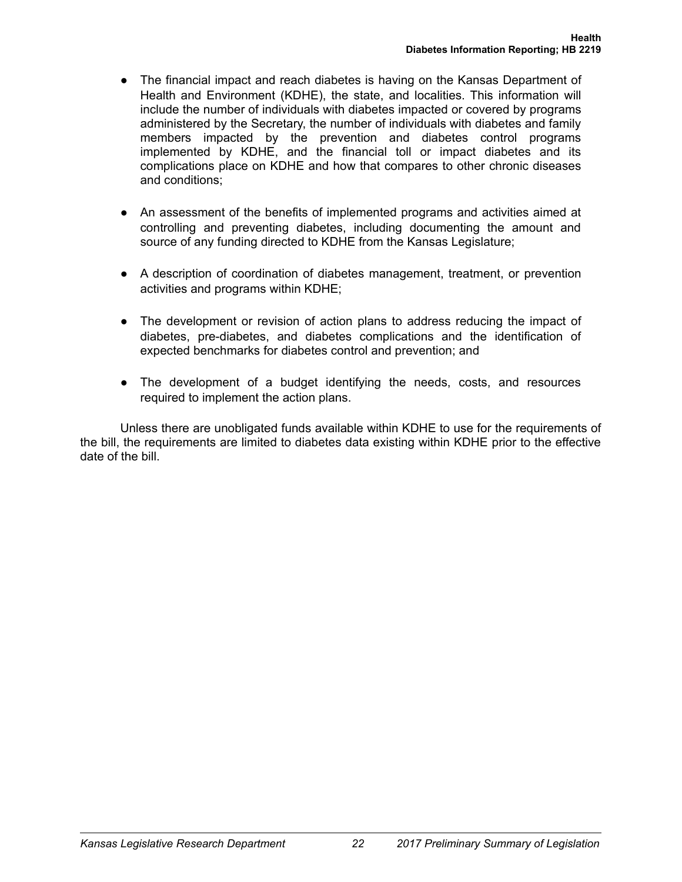- The financial impact and reach diabetes is having on the Kansas Department of Health and Environment (KDHE), the state, and localities. This information will include the number of individuals with diabetes impacted or covered by programs administered by the Secretary, the number of individuals with diabetes and family members impacted by the prevention and diabetes control programs implemented by KDHE, and the financial toll or impact diabetes and its complications place on KDHE and how that compares to other chronic diseases and conditions;
- An assessment of the benefits of implemented programs and activities aimed at controlling and preventing diabetes, including documenting the amount and source of any funding directed to KDHE from the Kansas Legislature;
- A description of coordination of diabetes management, treatment, or prevention activities and programs within KDHE;
- The development or revision of action plans to address reducing the impact of diabetes, pre-diabetes, and diabetes complications and the identification of expected benchmarks for diabetes control and prevention; and
- The development of a budget identifying the needs, costs, and resources required to implement the action plans.

Unless there are unobligated funds available within KDHE to use for the requirements of the bill, the requirements are limited to diabetes data existing within KDHE prior to the effective date of the bill.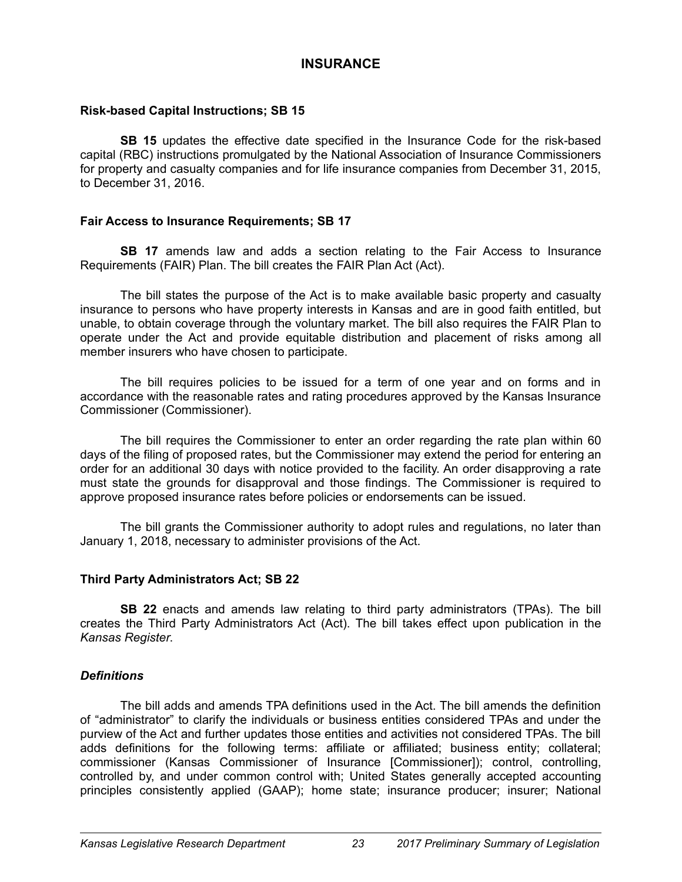# **INSURANCE**

# **Risk-based Capital Instructions; SB 15**

**SB 15** updates the effective date specified in the Insurance Code for the risk-based capital (RBC) instructions promulgated by the National Association of Insurance Commissioners for property and casualty companies and for life insurance companies from December 31, 2015, to December 31, 2016.

### **Fair Access to Insurance Requirements; SB 17**

**SB 17** amends law and adds a section relating to the Fair Access to Insurance Requirements (FAIR) Plan. The bill creates the FAIR Plan Act (Act).

The bill states the purpose of the Act is to make available basic property and casualty insurance to persons who have property interests in Kansas and are in good faith entitled, but unable, to obtain coverage through the voluntary market. The bill also requires the FAIR Plan to operate under the Act and provide equitable distribution and placement of risks among all member insurers who have chosen to participate.

The bill requires policies to be issued for a term of one year and on forms and in accordance with the reasonable rates and rating procedures approved by the Kansas Insurance Commissioner (Commissioner).

The bill requires the Commissioner to enter an order regarding the rate plan within 60 days of the filing of proposed rates, but the Commissioner may extend the period for entering an order for an additional 30 days with notice provided to the facility. An order disapproving a rate must state the grounds for disapproval and those findings. The Commissioner is required to approve proposed insurance rates before policies or endorsements can be issued.

The bill grants the Commissioner authority to adopt rules and regulations, no later than January 1, 2018, necessary to administer provisions of the Act.

# **Third Party Administrators Act; SB 22**

**SB 22** enacts and amends law relating to third party administrators (TPAs). The bill creates the Third Party Administrators Act (Act). The bill takes effect upon publication in the *Kansas Register*.

# *Definitions*

The bill adds and amends TPA definitions used in the Act. The bill amends the definition of "administrator" to clarify the individuals or business entities considered TPAs and under the purview of the Act and further updates those entities and activities not considered TPAs. The bill adds definitions for the following terms: affiliate or affiliated; business entity; collateral; commissioner (Kansas Commissioner of Insurance [Commissioner]); control, controlling, controlled by, and under common control with; United States generally accepted accounting principles consistently applied (GAAP); home state; insurance producer; insurer; National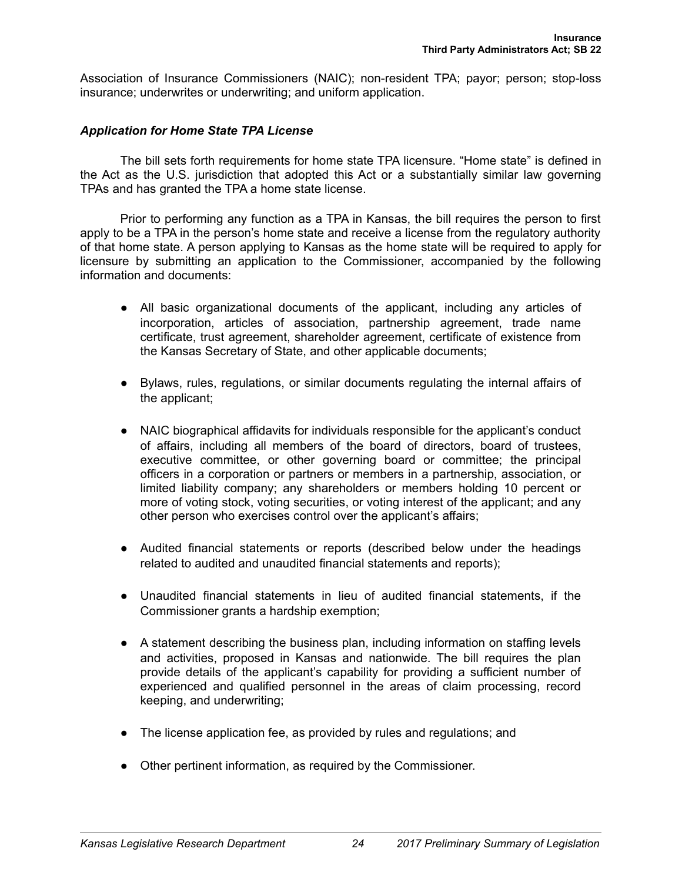Association of Insurance Commissioners (NAIC); non-resident TPA; payor; person; stop-loss insurance; underwrites or underwriting; and uniform application.

#### *Application for Home State TPA License*

The bill sets forth requirements for home state TPA licensure. "Home state" is defined in the Act as the U.S. jurisdiction that adopted this Act or a substantially similar law governing TPAs and has granted the TPA a home state license.

Prior to performing any function as a TPA in Kansas, the bill requires the person to first apply to be a TPA in the person's home state and receive a license from the regulatory authority of that home state. A person applying to Kansas as the home state will be required to apply for licensure by submitting an application to the Commissioner, accompanied by the following information and documents:

- All basic organizational documents of the applicant, including any articles of incorporation, articles of association, partnership agreement, trade name certificate, trust agreement, shareholder agreement, certificate of existence from the Kansas Secretary of State, and other applicable documents;
- Bylaws, rules, regulations, or similar documents regulating the internal affairs of the applicant;
- NAIC biographical affidavits for individuals responsible for the applicant's conduct of affairs, including all members of the board of directors, board of trustees, executive committee, or other governing board or committee; the principal officers in a corporation or partners or members in a partnership, association, or limited liability company; any shareholders or members holding 10 percent or more of voting stock, voting securities, or voting interest of the applicant; and any other person who exercises control over the applicant's affairs;
- Audited financial statements or reports (described below under the headings related to audited and unaudited financial statements and reports);
- Unaudited financial statements in lieu of audited financial statements, if the Commissioner grants a hardship exemption;
- A statement describing the business plan, including information on staffing levels and activities, proposed in Kansas and nationwide. The bill requires the plan provide details of the applicant's capability for providing a sufficient number of experienced and qualified personnel in the areas of claim processing, record keeping, and underwriting;
- The license application fee, as provided by rules and regulations; and
- Other pertinent information, as required by the Commissioner.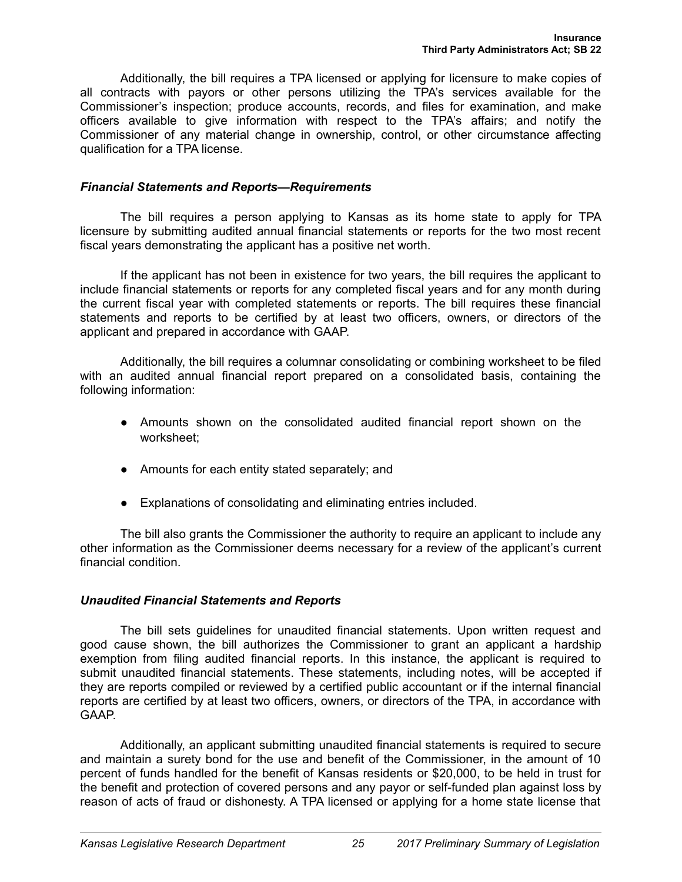Additionally, the bill requires a TPA licensed or applying for licensure to make copies of all contracts with payors or other persons utilizing the TPA's services available for the Commissioner's inspection; produce accounts, records, and files for examination, and make officers available to give information with respect to the TPA's affairs; and notify the Commissioner of any material change in ownership, control, or other circumstance affecting qualification for a TPA license.

### *Financial Statements and Reports—Requirements*

The bill requires a person applying to Kansas as its home state to apply for TPA licensure by submitting audited annual financial statements or reports for the two most recent fiscal years demonstrating the applicant has a positive net worth.

If the applicant has not been in existence for two years, the bill requires the applicant to include financial statements or reports for any completed fiscal years and for any month during the current fiscal year with completed statements or reports. The bill requires these financial statements and reports to be certified by at least two officers, owners, or directors of the applicant and prepared in accordance with GAAP.

Additionally, the bill requires a columnar consolidating or combining worksheet to be filed with an audited annual financial report prepared on a consolidated basis, containing the following information:

- Amounts shown on the consolidated audited financial report shown on the worksheet;
- Amounts for each entity stated separately; and
- Explanations of consolidating and eliminating entries included.

The bill also grants the Commissioner the authority to require an applicant to include any other information as the Commissioner deems necessary for a review of the applicant's current financial condition.

# *Unaudited Financial Statements and Reports*

The bill sets guidelines for unaudited financial statements. Upon written request and good cause shown, the bill authorizes the Commissioner to grant an applicant a hardship exemption from filing audited financial reports. In this instance, the applicant is required to submit unaudited financial statements. These statements, including notes, will be accepted if they are reports compiled or reviewed by a certified public accountant or if the internal financial reports are certified by at least two officers, owners, or directors of the TPA, in accordance with GAAP.

Additionally, an applicant submitting unaudited financial statements is required to secure and maintain a surety bond for the use and benefit of the Commissioner, in the amount of 10 percent of funds handled for the benefit of Kansas residents or \$20,000, to be held in trust for the benefit and protection of covered persons and any payor or self-funded plan against loss by reason of acts of fraud or dishonesty. A TPA licensed or applying for a home state license that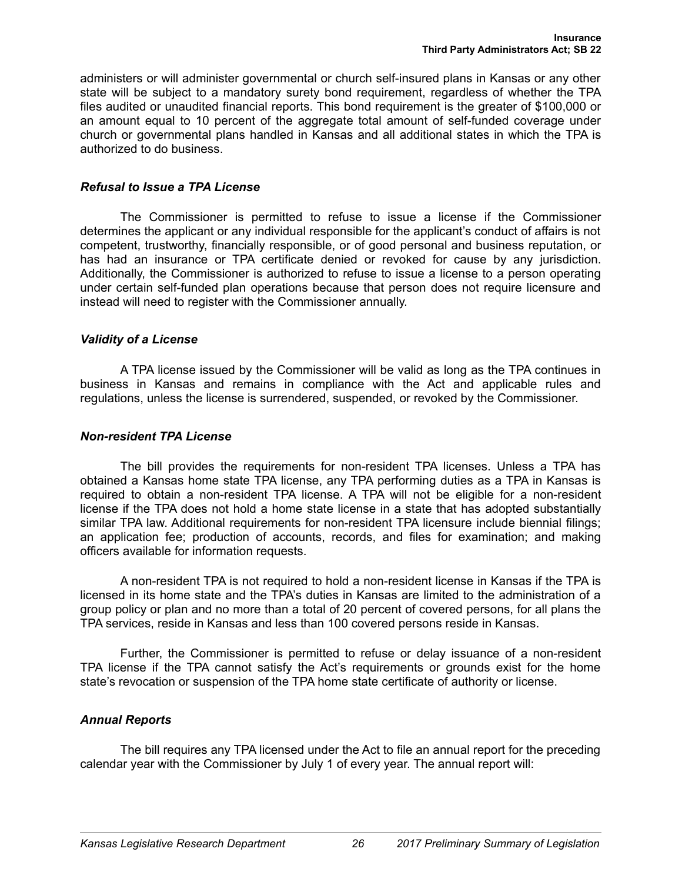administers or will administer governmental or church self-insured plans in Kansas or any other state will be subject to a mandatory surety bond requirement, regardless of whether the TPA files audited or unaudited financial reports. This bond requirement is the greater of \$100,000 or an amount equal to 10 percent of the aggregate total amount of self-funded coverage under church or governmental plans handled in Kansas and all additional states in which the TPA is authorized to do business.

### *Refusal to Issue a TPA License*

The Commissioner is permitted to refuse to issue a license if the Commissioner determines the applicant or any individual responsible for the applicant's conduct of affairs is not competent, trustworthy, financially responsible, or of good personal and business reputation, or has had an insurance or TPA certificate denied or revoked for cause by any jurisdiction. Additionally, the Commissioner is authorized to refuse to issue a license to a person operating under certain self-funded plan operations because that person does not require licensure and instead will need to register with the Commissioner annually.

### *Validity of a License*

A TPA license issued by the Commissioner will be valid as long as the TPA continues in business in Kansas and remains in compliance with the Act and applicable rules and regulations, unless the license is surrendered, suspended, or revoked by the Commissioner.

### *Non-resident TPA License*

The bill provides the requirements for non-resident TPA licenses. Unless a TPA has obtained a Kansas home state TPA license, any TPA performing duties as a TPA in Kansas is required to obtain a non-resident TPA license. A TPA will not be eligible for a non-resident license if the TPA does not hold a home state license in a state that has adopted substantially similar TPA law. Additional requirements for non-resident TPA licensure include biennial filings; an application fee; production of accounts, records, and files for examination; and making officers available for information requests.

A non-resident TPA is not required to hold a non-resident license in Kansas if the TPA is licensed in its home state and the TPA's duties in Kansas are limited to the administration of a group policy or plan and no more than a total of 20 percent of covered persons, for all plans the TPA services, reside in Kansas and less than 100 covered persons reside in Kansas.

Further, the Commissioner is permitted to refuse or delay issuance of a non-resident TPA license if the TPA cannot satisfy the Act's requirements or grounds exist for the home state's revocation or suspension of the TPA home state certificate of authority or license.

# *Annual Reports*

The bill requires any TPA licensed under the Act to file an annual report for the preceding calendar year with the Commissioner by July 1 of every year. The annual report will: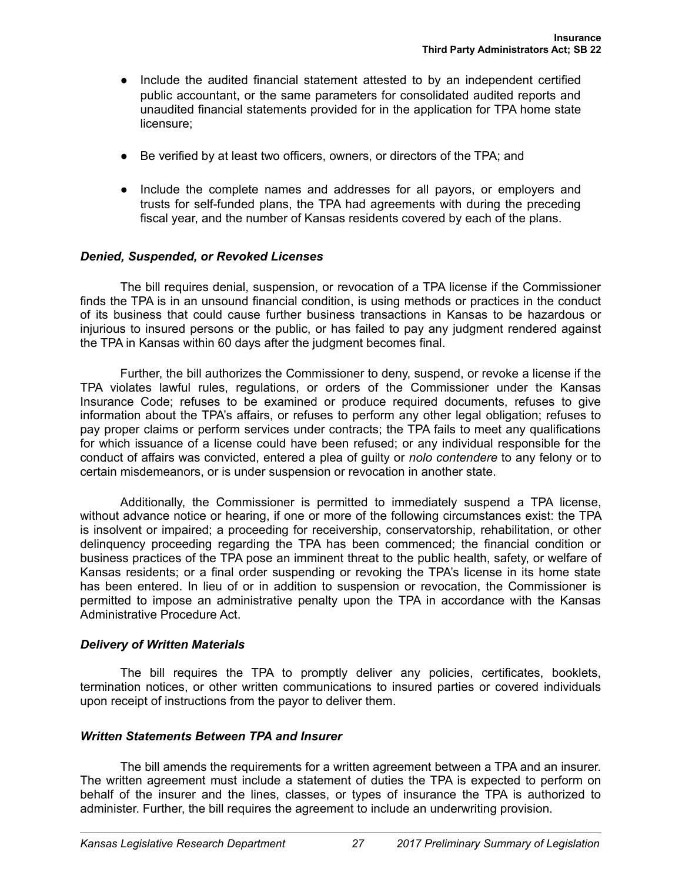- Include the audited financial statement attested to by an independent certified public accountant, or the same parameters for consolidated audited reports and unaudited financial statements provided for in the application for TPA home state licensure;
- Be verified by at least two officers, owners, or directors of the TPA; and
- Include the complete names and addresses for all payors, or employers and trusts for self-funded plans, the TPA had agreements with during the preceding fiscal year, and the number of Kansas residents covered by each of the plans.

# *Denied, Suspended, or Revoked Licenses*

The bill requires denial, suspension, or revocation of a TPA license if the Commissioner finds the TPA is in an unsound financial condition, is using methods or practices in the conduct of its business that could cause further business transactions in Kansas to be hazardous or injurious to insured persons or the public, or has failed to pay any judgment rendered against the TPA in Kansas within 60 days after the judgment becomes final.

Further, the bill authorizes the Commissioner to deny, suspend, or revoke a license if the TPA violates lawful rules, regulations, or orders of the Commissioner under the Kansas Insurance Code; refuses to be examined or produce required documents, refuses to give information about the TPA's affairs, or refuses to perform any other legal obligation; refuses to pay proper claims or perform services under contracts; the TPA fails to meet any qualifications for which issuance of a license could have been refused; or any individual responsible for the conduct of affairs was convicted, entered a plea of guilty or *nolo contendere* to any felony or to certain misdemeanors, or is under suspension or revocation in another state.

Additionally, the Commissioner is permitted to immediately suspend a TPA license, without advance notice or hearing, if one or more of the following circumstances exist: the TPA is insolvent or impaired; a proceeding for receivership, conservatorship, rehabilitation, or other delinquency proceeding regarding the TPA has been commenced; the financial condition or business practices of the TPA pose an imminent threat to the public health, safety, or welfare of Kansas residents; or a final order suspending or revoking the TPA's license in its home state has been entered. In lieu of or in addition to suspension or revocation, the Commissioner is permitted to impose an administrative penalty upon the TPA in accordance with the Kansas Administrative Procedure Act.

# *Delivery of Written Materials*

The bill requires the TPA to promptly deliver any policies, certificates, booklets, termination notices, or other written communications to insured parties or covered individuals upon receipt of instructions from the payor to deliver them.

# *Written Statements Between TPA and Insurer*

The bill amends the requirements for a written agreement between a TPA and an insurer. The written agreement must include a statement of duties the TPA is expected to perform on behalf of the insurer and the lines, classes, or types of insurance the TPA is authorized to administer. Further, the bill requires the agreement to include an underwriting provision.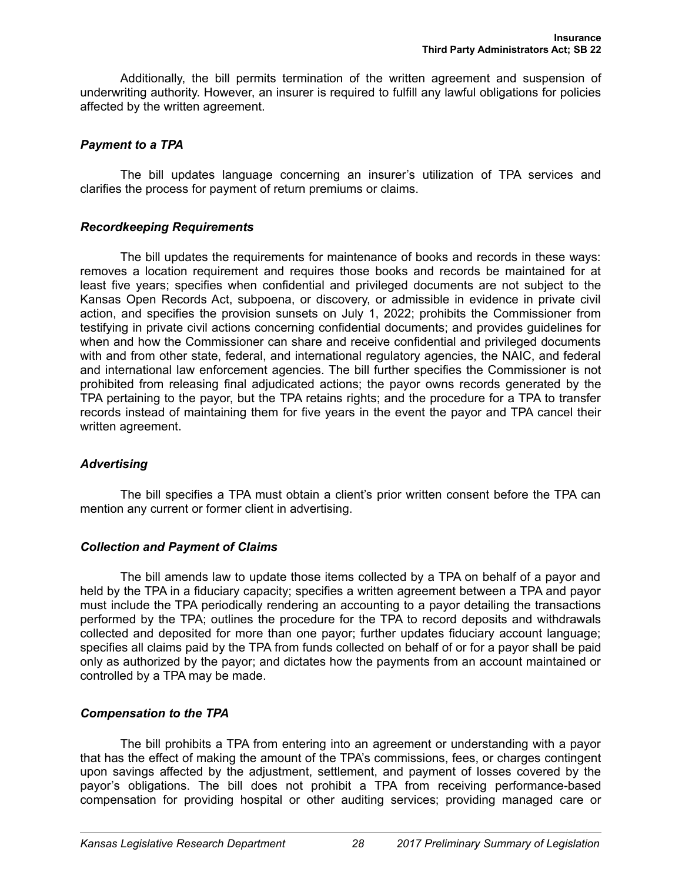Additionally, the bill permits termination of the written agreement and suspension of underwriting authority. However, an insurer is required to fulfill any lawful obligations for policies affected by the written agreement.

# *Payment to a TPA*

The bill updates language concerning an insurer's utilization of TPA services and clarifies the process for payment of return premiums or claims.

### *Recordkeeping Requirements*

The bill updates the requirements for maintenance of books and records in these ways: removes a location requirement and requires those books and records be maintained for at least five years; specifies when confidential and privileged documents are not subject to the Kansas Open Records Act, subpoena, or discovery, or admissible in evidence in private civil action, and specifies the provision sunsets on July 1, 2022; prohibits the Commissioner from testifying in private civil actions concerning confidential documents; and provides guidelines for when and how the Commissioner can share and receive confidential and privileged documents with and from other state, federal, and international regulatory agencies, the NAIC, and federal and international law enforcement agencies. The bill further specifies the Commissioner is not prohibited from releasing final adjudicated actions; the payor owns records generated by the TPA pertaining to the payor, but the TPA retains rights; and the procedure for a TPA to transfer records instead of maintaining them for five years in the event the payor and TPA cancel their written agreement.

# *Advertising*

The bill specifies a TPA must obtain a client's prior written consent before the TPA can mention any current or former client in advertising.

# *Collection and Payment of Claims*

The bill amends law to update those items collected by a TPA on behalf of a payor and held by the TPA in a fiduciary capacity; specifies a written agreement between a TPA and payor must include the TPA periodically rendering an accounting to a payor detailing the transactions performed by the TPA; outlines the procedure for the TPA to record deposits and withdrawals collected and deposited for more than one payor; further updates fiduciary account language; specifies all claims paid by the TPA from funds collected on behalf of or for a payor shall be paid only as authorized by the payor; and dictates how the payments from an account maintained or controlled by a TPA may be made.

# *Compensation to the TPA*

The bill prohibits a TPA from entering into an agreement or understanding with a payor that has the effect of making the amount of the TPA's commissions, fees, or charges contingent upon savings affected by the adjustment, settlement, and payment of losses covered by the payor's obligations. The bill does not prohibit a TPA from receiving performance-based compensation for providing hospital or other auditing services; providing managed care or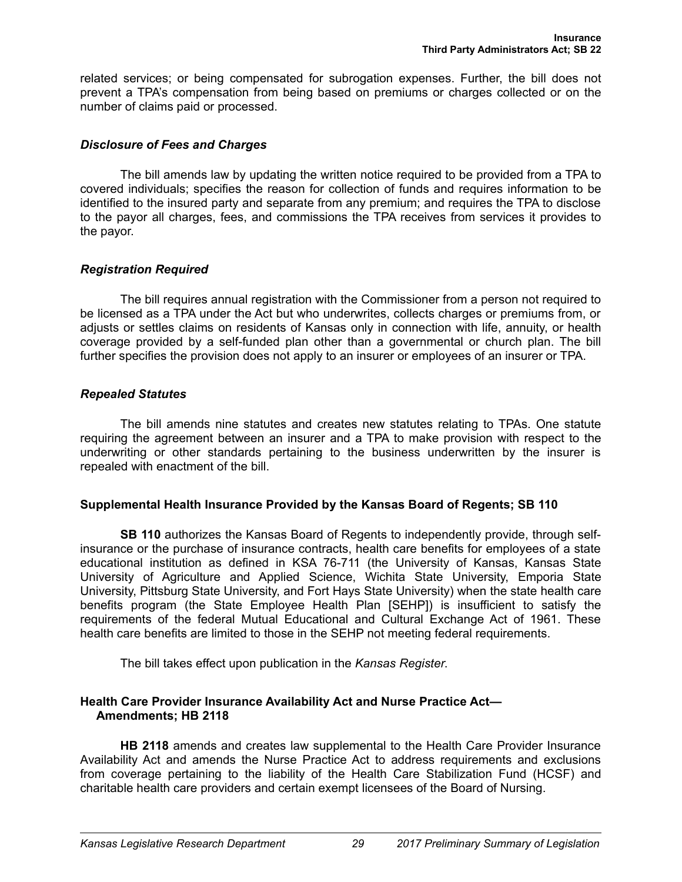related services; or being compensated for subrogation expenses. Further, the bill does not prevent a TPA's compensation from being based on premiums or charges collected or on the number of claims paid or processed.

### *Disclosure of Fees and Charges*

The bill amends law by updating the written notice required to be provided from a TPA to covered individuals; specifies the reason for collection of funds and requires information to be identified to the insured party and separate from any premium; and requires the TPA to disclose to the payor all charges, fees, and commissions the TPA receives from services it provides to the payor.

# *Registration Required*

The bill requires annual registration with the Commissioner from a person not required to be licensed as a TPA under the Act but who underwrites, collects charges or premiums from, or adjusts or settles claims on residents of Kansas only in connection with life, annuity, or health coverage provided by a self-funded plan other than a governmental or church plan. The bill further specifies the provision does not apply to an insurer or employees of an insurer or TPA.

### *Repealed Statutes*

The bill amends nine statutes and creates new statutes relating to TPAs. One statute requiring the agreement between an insurer and a TPA to make provision with respect to the underwriting or other standards pertaining to the business underwritten by the insurer is repealed with enactment of the bill.

# **Supplemental Health Insurance Provided by the Kansas Board of Regents; SB 110**

**SB 110** authorizes the Kansas Board of Regents to independently provide, through selfinsurance or the purchase of insurance contracts, health care benefits for employees of a state educational institution as defined in KSA 76-711 (the University of Kansas, Kansas State University of Agriculture and Applied Science, Wichita State University, Emporia State University, Pittsburg State University, and Fort Hays State University) when the state health care benefits program (the State Employee Health Plan [SEHP]) is insufficient to satisfy the requirements of the federal Mutual Educational and Cultural Exchange Act of 1961. These health care benefits are limited to those in the SEHP not meeting federal requirements.

The bill takes effect upon publication in the *Kansas Register*.

### **Health Care Provider Insurance Availability Act and Nurse Practice Act— Amendments; HB 2118**

**HB 2118** amends and creates law supplemental to the Health Care Provider Insurance Availability Act and amends the Nurse Practice Act to address requirements and exclusions from coverage pertaining to the liability of the Health Care Stabilization Fund (HCSF) and charitable health care providers and certain exempt licensees of the Board of Nursing.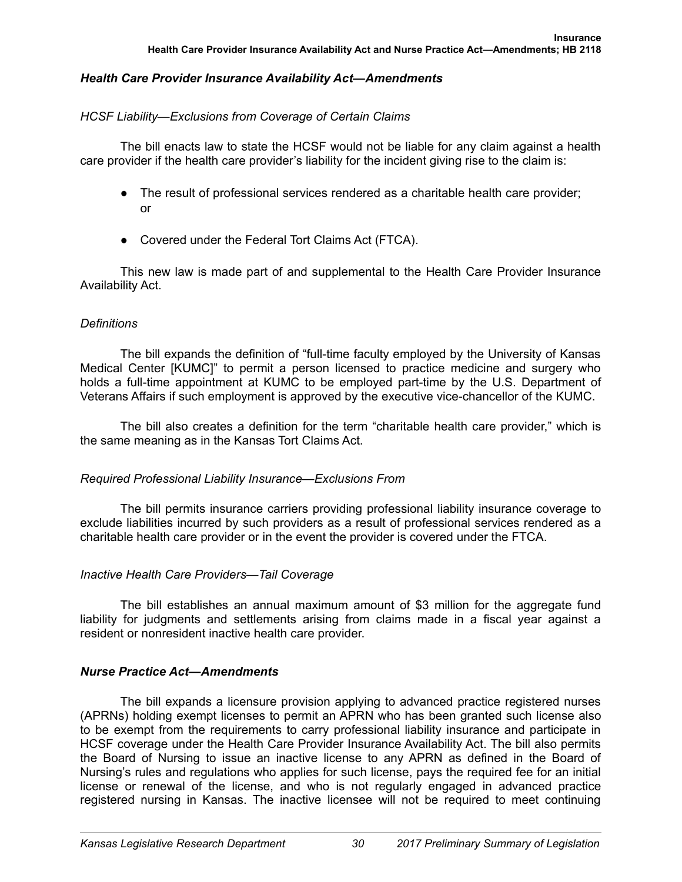# *Health Care Provider Insurance Availability Act—Amendments*

# *HCSF Liability—Exclusions from Coverage of Certain Claims*

The bill enacts law to state the HCSF would not be liable for any claim against a health care provider if the health care provider's liability for the incident giving rise to the claim is:

- The result of professional services rendered as a charitable health care provider; or
- Covered under the Federal Tort Claims Act (FTCA).

This new law is made part of and supplemental to the Health Care Provider Insurance Availability Act.

# *Definitions*

The bill expands the definition of "full-time faculty employed by the University of Kansas Medical Center [KUMC]" to permit a person licensed to practice medicine and surgery who holds a full-time appointment at KUMC to be employed part-time by the U.S. Department of Veterans Affairs if such employment is approved by the executive vice-chancellor of the KUMC.

The bill also creates a definition for the term "charitable health care provider," which is the same meaning as in the Kansas Tort Claims Act.

# *Required Professional Liability Insurance—Exclusions From*

The bill permits insurance carriers providing professional liability insurance coverage to exclude liabilities incurred by such providers as a result of professional services rendered as a charitable health care provider or in the event the provider is covered under the FTCA.

# *Inactive Health Care Providers—Tail Coverage*

The bill establishes an annual maximum amount of \$3 million for the aggregate fund liability for judgments and settlements arising from claims made in a fiscal year against a resident or nonresident inactive health care provider.

# *Nurse Practice Act—Amendments*

The bill expands a licensure provision applying to advanced practice registered nurses (APRNs) holding exempt licenses to permit an APRN who has been granted such license also to be exempt from the requirements to carry professional liability insurance and participate in HCSF coverage under the Health Care Provider Insurance Availability Act. The bill also permits the Board of Nursing to issue an inactive license to any APRN as defined in the Board of Nursing's rules and regulations who applies for such license, pays the required fee for an initial license or renewal of the license, and who is not regularly engaged in advanced practice registered nursing in Kansas. The inactive licensee will not be required to meet continuing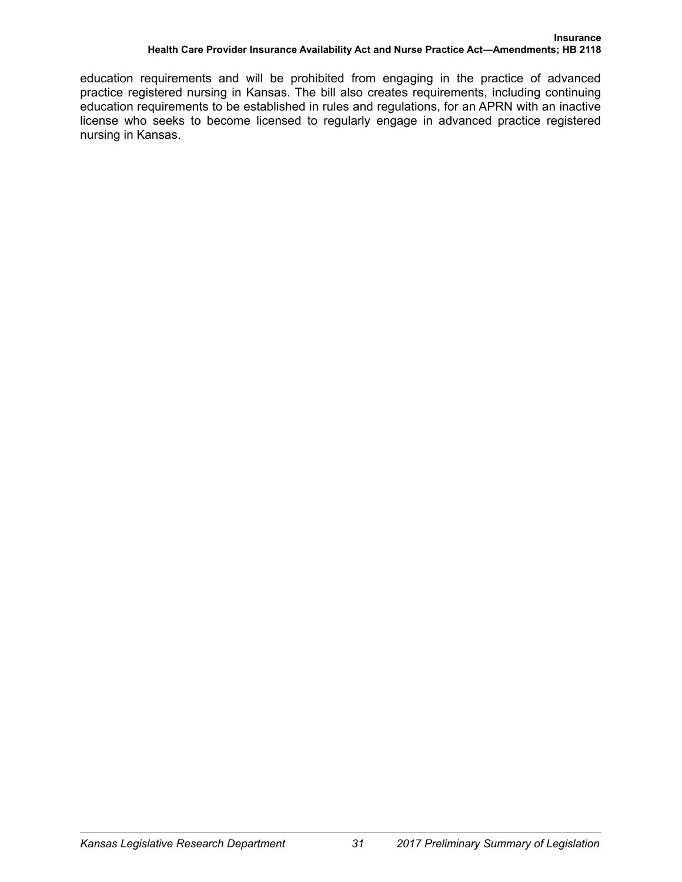education requirements and will be prohibited from engaging in the practice of advanced practice registered nursing in Kansas. The bill also creates requirements, including continuing education requirements to be established in rules and regulations, for an APRN with an inactive license who seeks to become licensed to regularly engage in advanced practice registered nursing in Kansas.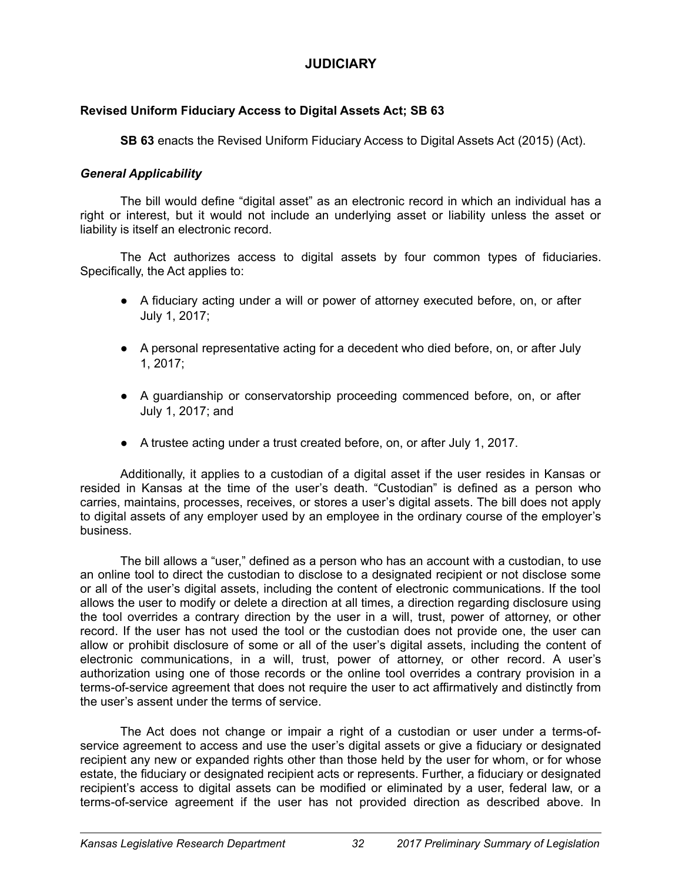# **JUDICIARY**

# **Revised Uniform Fiduciary Access to Digital Assets Act; SB 63**

**SB 63** enacts the Revised Uniform Fiduciary Access to Digital Assets Act (2015) (Act).

# *General Applicability*

The bill would define "digital asset" as an electronic record in which an individual has a right or interest, but it would not include an underlying asset or liability unless the asset or liability is itself an electronic record.

The Act authorizes access to digital assets by four common types of fiduciaries. Specifically, the Act applies to:

- A fiduciary acting under a will or power of attorney executed before, on, or after July 1, 2017;
- A personal representative acting for a decedent who died before, on, or after July 1, 2017;
- A guardianship or conservatorship proceeding commenced before, on, or after July 1, 2017; and
- A trustee acting under a trust created before, on, or after July 1, 2017.

Additionally, it applies to a custodian of a digital asset if the user resides in Kansas or resided in Kansas at the time of the user's death. "Custodian" is defined as a person who carries, maintains, processes, receives, or stores a user's digital assets. The bill does not apply to digital assets of any employer used by an employee in the ordinary course of the employer's business.

The bill allows a "user," defined as a person who has an account with a custodian, to use an online tool to direct the custodian to disclose to a designated recipient or not disclose some or all of the user's digital assets, including the content of electronic communications. If the tool allows the user to modify or delete a direction at all times, a direction regarding disclosure using the tool overrides a contrary direction by the user in a will, trust, power of attorney, or other record. If the user has not used the tool or the custodian does not provide one, the user can allow or prohibit disclosure of some or all of the user's digital assets, including the content of electronic communications, in a will, trust, power of attorney, or other record. A user's authorization using one of those records or the online tool overrides a contrary provision in a terms-of-service agreement that does not require the user to act affirmatively and distinctly from the user's assent under the terms of service.

The Act does not change or impair a right of a custodian or user under a terms-ofservice agreement to access and use the user's digital assets or give a fiduciary or designated recipient any new or expanded rights other than those held by the user for whom, or for whose estate, the fiduciary or designated recipient acts or represents. Further, a fiduciary or designated recipient's access to digital assets can be modified or eliminated by a user, federal law, or a terms-of-service agreement if the user has not provided direction as described above. In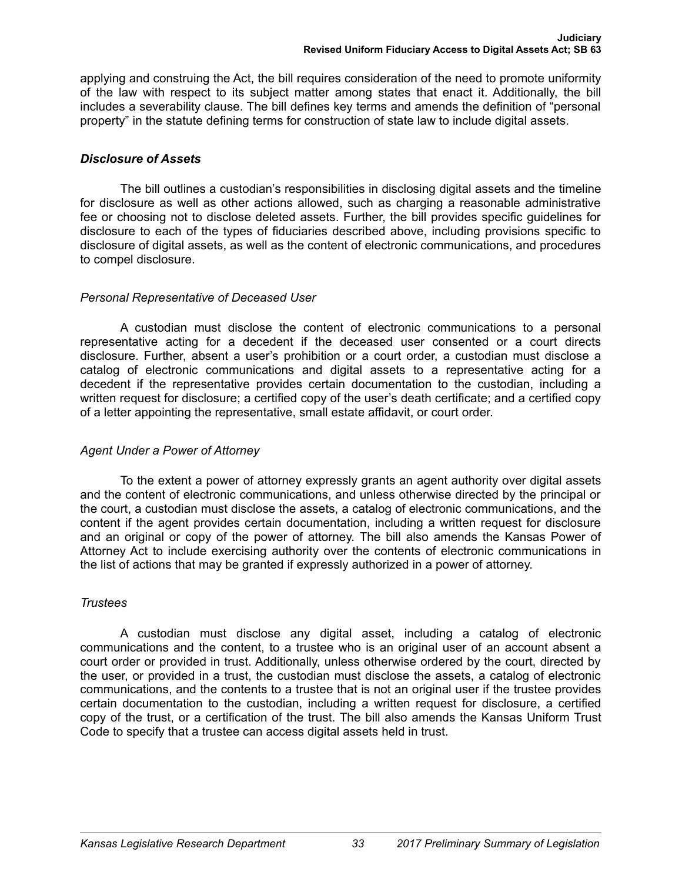applying and construing the Act, the bill requires consideration of the need to promote uniformity of the law with respect to its subject matter among states that enact it. Additionally, the bill includes a severability clause. The bill defines key terms and amends the definition of "personal property" in the statute defining terms for construction of state law to include digital assets.

# *Disclosure of Assets*

The bill outlines a custodian's responsibilities in disclosing digital assets and the timeline for disclosure as well as other actions allowed, such as charging a reasonable administrative fee or choosing not to disclose deleted assets. Further, the bill provides specific guidelines for disclosure to each of the types of fiduciaries described above, including provisions specific to disclosure of digital assets, as well as the content of electronic communications, and procedures to compel disclosure.

# *Personal Representative of Deceased User*

A custodian must disclose the content of electronic communications to a personal representative acting for a decedent if the deceased user consented or a court directs disclosure. Further, absent a user's prohibition or a court order, a custodian must disclose a catalog of electronic communications and digital assets to a representative acting for a decedent if the representative provides certain documentation to the custodian, including a written request for disclosure; a certified copy of the user's death certificate; and a certified copy of a letter appointing the representative, small estate affidavit, or court order.

# *Agent Under a Power of Attorney*

To the extent a power of attorney expressly grants an agent authority over digital assets and the content of electronic communications, and unless otherwise directed by the principal or the court, a custodian must disclose the assets, a catalog of electronic communications, and the content if the agent provides certain documentation, including a written request for disclosure and an original or copy of the power of attorney. The bill also amends the Kansas Power of Attorney Act to include exercising authority over the contents of electronic communications in the list of actions that may be granted if expressly authorized in a power of attorney.

# *Trustees*

A custodian must disclose any digital asset, including a catalog of electronic communications and the content, to a trustee who is an original user of an account absent a court order or provided in trust. Additionally, unless otherwise ordered by the court, directed by the user, or provided in a trust, the custodian must disclose the assets, a catalog of electronic communications, and the contents to a trustee that is not an original user if the trustee provides certain documentation to the custodian, including a written request for disclosure, a certified copy of the trust, or a certification of the trust. The bill also amends the Kansas Uniform Trust Code to specify that a trustee can access digital assets held in trust.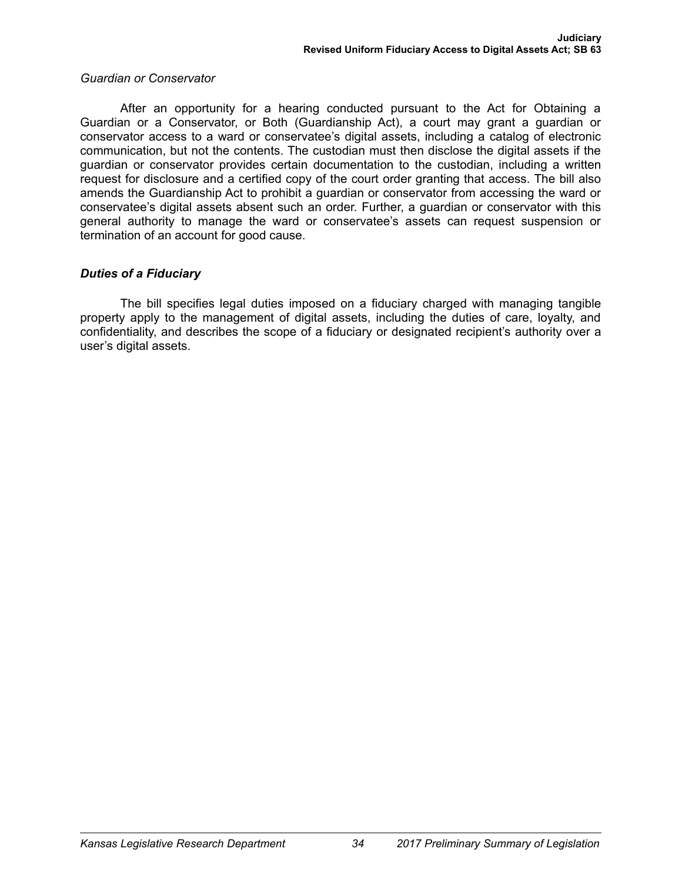#### *Guardian or Conservator*

After an opportunity for a hearing conducted pursuant to the Act for Obtaining a Guardian or a Conservator, or Both (Guardianship Act), a court may grant a guardian or conservator access to a ward or conservatee's digital assets, including a catalog of electronic communication, but not the contents. The custodian must then disclose the digital assets if the guardian or conservator provides certain documentation to the custodian, including a written request for disclosure and a certified copy of the court order granting that access. The bill also amends the Guardianship Act to prohibit a guardian or conservator from accessing the ward or conservatee's digital assets absent such an order. Further, a guardian or conservator with this general authority to manage the ward or conservatee's assets can request suspension or termination of an account for good cause.

# *Duties of a Fiduciary*

The bill specifies legal duties imposed on a fiduciary charged with managing tangible property apply to the management of digital assets, including the duties of care, loyalty, and confidentiality, and describes the scope of a fiduciary or designated recipient's authority over a user's digital assets.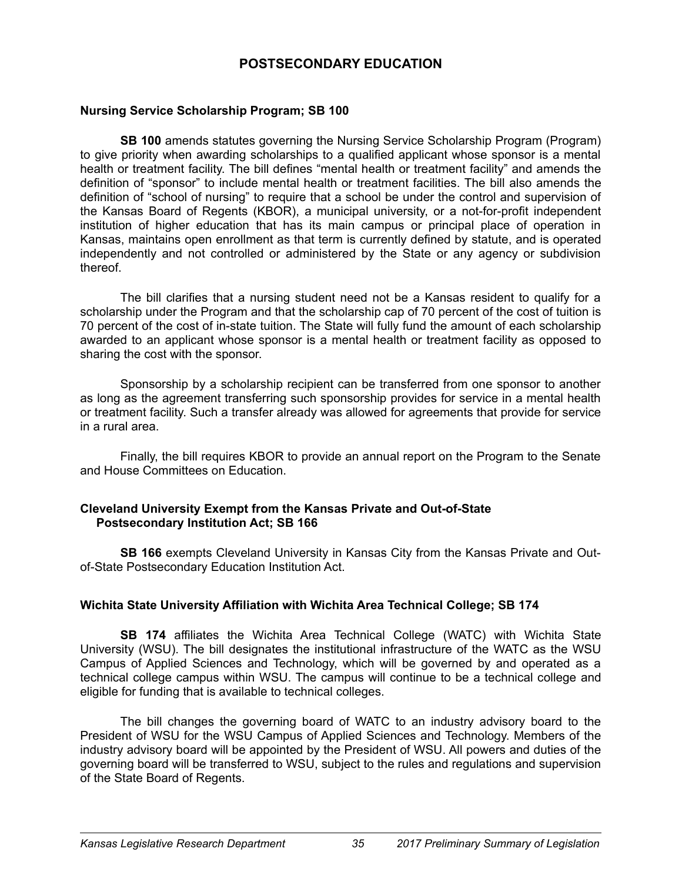# **POSTSECONDARY EDUCATION**

### **Nursing Service Scholarship Program; SB 100**

**SB 100** amends statutes governing the Nursing Service Scholarship Program (Program) to give priority when awarding scholarships to a qualified applicant whose sponsor is a mental health or treatment facility. The bill defines "mental health or treatment facility" and amends the definition of "sponsor" to include mental health or treatment facilities. The bill also amends the definition of "school of nursing" to require that a school be under the control and supervision of the Kansas Board of Regents (KBOR), a municipal university, or a not-for-profit independent institution of higher education that has its main campus or principal place of operation in Kansas, maintains open enrollment as that term is currently defined by statute, and is operated independently and not controlled or administered by the State or any agency or subdivision thereof.

The bill clarifies that a nursing student need not be a Kansas resident to qualify for a scholarship under the Program and that the scholarship cap of 70 percent of the cost of tuition is 70 percent of the cost of in-state tuition. The State will fully fund the amount of each scholarship awarded to an applicant whose sponsor is a mental health or treatment facility as opposed to sharing the cost with the sponsor.

Sponsorship by a scholarship recipient can be transferred from one sponsor to another as long as the agreement transferring such sponsorship provides for service in a mental health or treatment facility. Such a transfer already was allowed for agreements that provide for service in a rural area.

Finally, the bill requires KBOR to provide an annual report on the Program to the Senate and House Committees on Education.

### **Cleveland University Exempt from the Kansas Private and Out-of-State Postsecondary Institution Act; SB 166**

**SB 166** exempts Cleveland University in Kansas City from the Kansas Private and Outof-State Postsecondary Education Institution Act.

# **Wichita State University Affiliation with Wichita Area Technical College; SB 174**

**SB 174** affiliates the Wichita Area Technical College (WATC) with Wichita State University (WSU). The bill designates the institutional infrastructure of the WATC as the WSU Campus of Applied Sciences and Technology, which will be governed by and operated as a technical college campus within WSU. The campus will continue to be a technical college and eligible for funding that is available to technical colleges.

The bill changes the governing board of WATC to an industry advisory board to the President of WSU for the WSU Campus of Applied Sciences and Technology. Members of the industry advisory board will be appointed by the President of WSU. All powers and duties of the governing board will be transferred to WSU, subject to the rules and regulations and supervision of the State Board of Regents.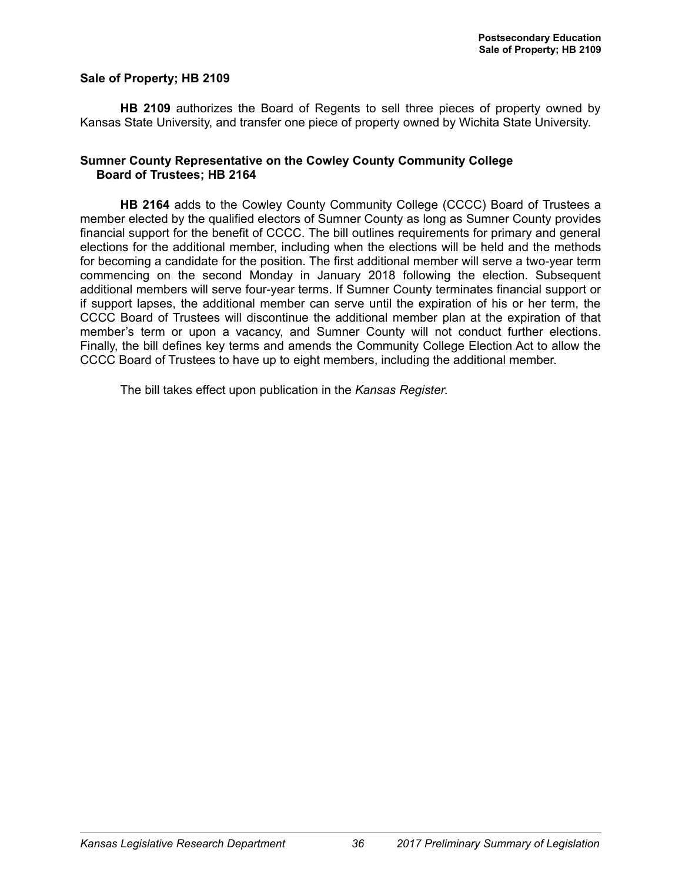#### **Sale of Property; HB 2109**

**HB 2109** authorizes the Board of Regents to sell three pieces of property owned by Kansas State University, and transfer one piece of property owned by Wichita State University.

#### **Sumner County Representative on the Cowley County Community College Board of Trustees; HB 2164**

**HB 2164** adds to the Cowley County Community College (CCCC) Board of Trustees a member elected by the qualified electors of Sumner County as long as Sumner County provides financial support for the benefit of CCCC. The bill outlines requirements for primary and general elections for the additional member, including when the elections will be held and the methods for becoming a candidate for the position. The first additional member will serve a two-year term commencing on the second Monday in January 2018 following the election. Subsequent additional members will serve four-year terms. If Sumner County terminates financial support or if support lapses, the additional member can serve until the expiration of his or her term, the CCCC Board of Trustees will discontinue the additional member plan at the expiration of that member's term or upon a vacancy, and Sumner County will not conduct further elections. Finally, the bill defines key terms and amends the Community College Election Act to allow the CCCC Board of Trustees to have up to eight members, including the additional member.

The bill takes effect upon publication in the *Kansas Register*.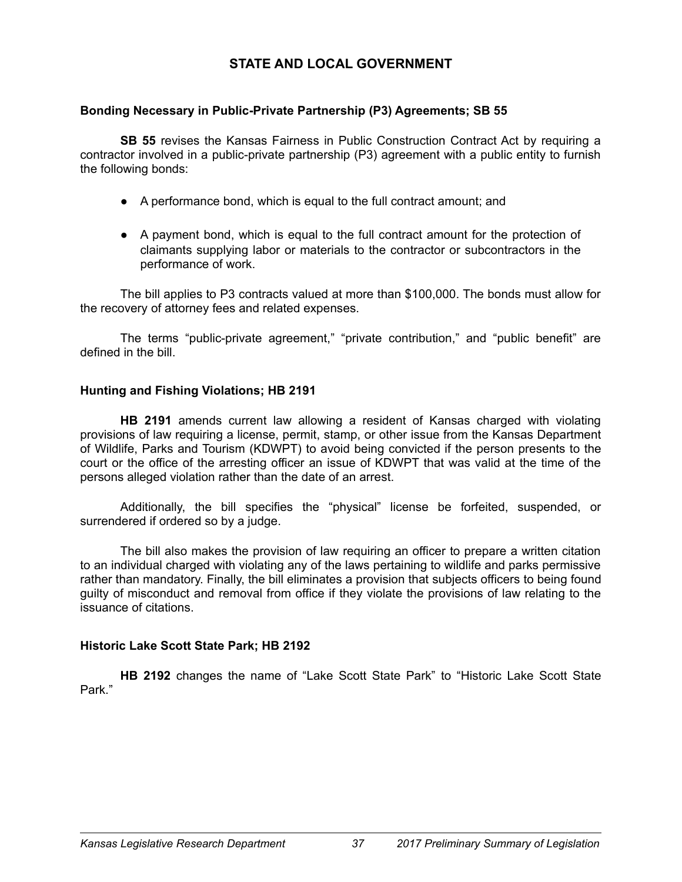# **STATE AND LOCAL GOVERNMENT**

# **Bonding Necessary in Public-Private Partnership (P3) Agreements; SB 55**

**SB 55** revises the Kansas Fairness in Public Construction Contract Act by requiring a contractor involved in a public-private partnership (P3) agreement with a public entity to furnish the following bonds:

- A performance bond, which is equal to the full contract amount; and
- A payment bond, which is equal to the full contract amount for the protection of claimants supplying labor or materials to the contractor or subcontractors in the performance of work.

The bill applies to P3 contracts valued at more than \$100,000. The bonds must allow for the recovery of attorney fees and related expenses.

The terms "public-private agreement," "private contribution," and "public benefit" are defined in the bill.

# **Hunting and Fishing Violations; HB 2191**

**HB 2191** amends current law allowing a resident of Kansas charged with violating provisions of law requiring a license, permit, stamp, or other issue from the Kansas Department of Wildlife, Parks and Tourism (KDWPT) to avoid being convicted if the person presents to the court or the office of the arresting officer an issue of KDWPT that was valid at the time of the persons alleged violation rather than the date of an arrest.

Additionally, the bill specifies the "physical" license be forfeited, suspended, or surrendered if ordered so by a judge.

The bill also makes the provision of law requiring an officer to prepare a written citation to an individual charged with violating any of the laws pertaining to wildlife and parks permissive rather than mandatory. Finally, the bill eliminates a provision that subjects officers to being found guilty of misconduct and removal from office if they violate the provisions of law relating to the issuance of citations.

# **Historic Lake Scott State Park; HB 2192**

**HB 2192** changes the name of "Lake Scott State Park" to "Historic Lake Scott State Park."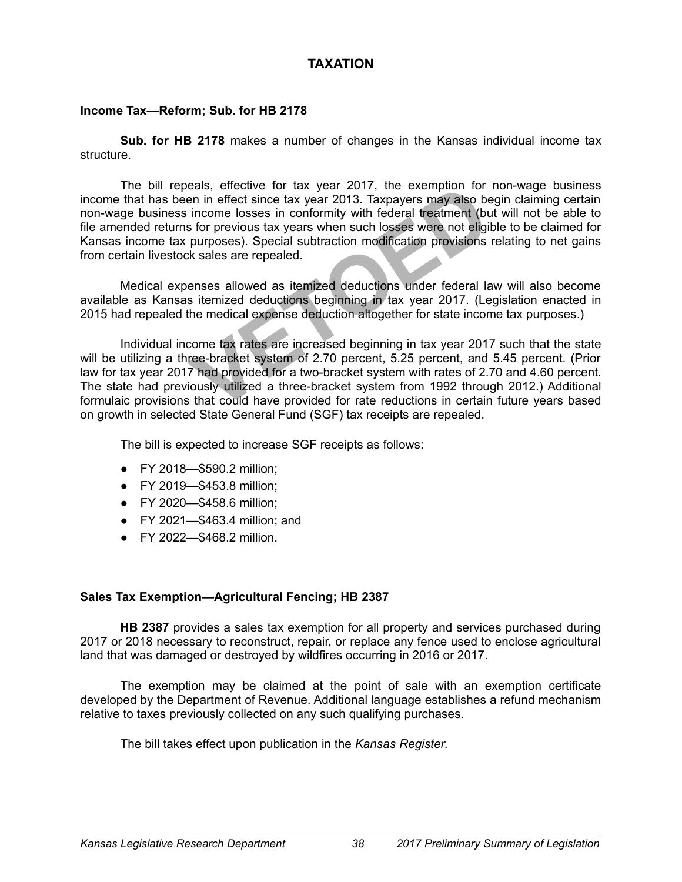# **TAXATION**

### **Income Tax—Reform; Sub. for HB 2178**

**Sub. for HB 2178** makes a number of changes in the Kansas individual income tax structure.

The bill repeals, effective for tax year 2017, the exemption for non-wage business income that has been in effect since tax year 2013. Taxpayers may also begin claiming certain non-wage business income losses in conformity with federal treatment (but will not be able to file amended returns for previous tax years when such losses were not eligible to be claimed for Kansas income tax purposes). Special subtraction modification provisions relating to net gains from certain livestock sales are repealed.

Medical expenses allowed as itemized deductions under federal law will also become available as Kansas itemized deductions beginning in tax year 2017. (Legislation enacted in 2015 had repealed the medical expense deduction altogether for state income tax purposes.)

Individual income tax rates are increased beginning in tax year 2017 such that the state will be utilizing a three-bracket system of 2.70 percent, 5.25 percent, and 5.45 percent. (Prior law for tax year 2017 had provided for a two-bracket system with rates of 2.70 and 4.60 percent. The state had previously utilized a three-bracket system from 1992 through 2012.) Additional formulaic provisions that could have provided for rate reductions in certain future years based on growth in selected State General Fund (SGF) tax receipts are repealed.

The bill is expected to increase SGF receipts as follows:

- FY 2018—\$590.2 million;
- FY 2019—\$453.8 million;
- FY 2020—\$458.6 million;
- FY 2021—\$463.4 million; and
- FY 2022—\$468.2 million.

# **Sales Tax Exemption—Agricultural Fencing; HB 2387**

**HB 2387** provides a sales tax exemption for all property and services purchased during 2017 or 2018 necessary to reconstruct, repair, or replace any fence used to enclose agricultural land that was damaged or destroyed by wildfires occurring in 2016 or 2017.

The exemption may be claimed at the point of sale with an exemption certificate developed by the Department of Revenue. Additional language establishes a refund mechanism relative to taxes previously collected on any such qualifying purchases.

The bill takes effect upon publication in the *Kansas Register*.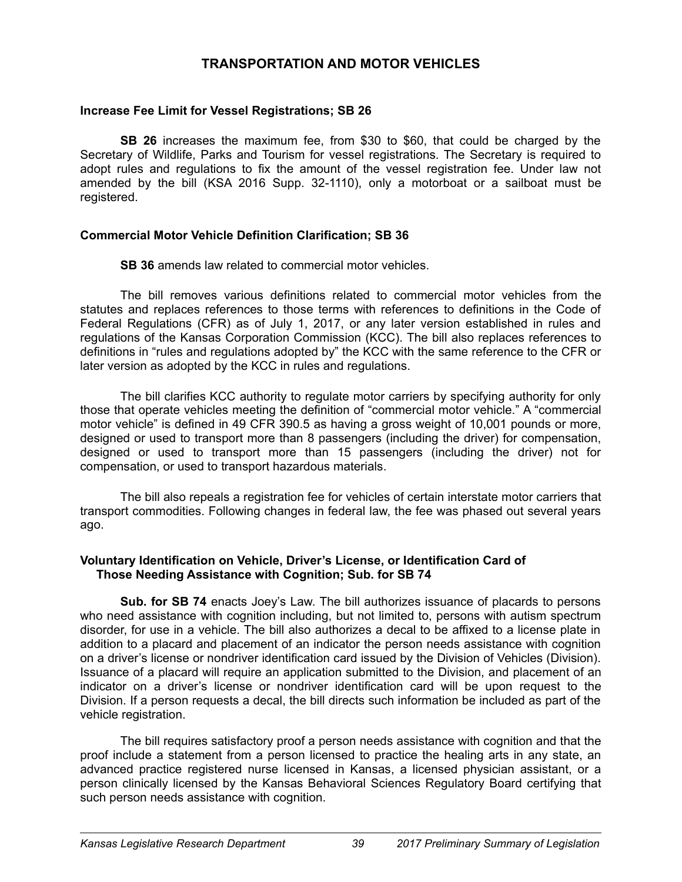# **TRANSPORTATION AND MOTOR VEHICLES**

### **Increase Fee Limit for Vessel Registrations; SB 26**

**SB 26** increases the maximum fee, from \$30 to \$60, that could be charged by the Secretary of Wildlife, Parks and Tourism for vessel registrations. The Secretary is required to adopt rules and regulations to fix the amount of the vessel registration fee. Under law not amended by the bill (KSA 2016 Supp. 32-1110), only a motorboat or a sailboat must be registered.

### **Commercial Motor Vehicle Definition Clarification; SB 36**

**SB 36** amends law related to commercial motor vehicles.

The bill removes various definitions related to commercial motor vehicles from the statutes and replaces references to those terms with references to definitions in the Code of Federal Regulations (CFR) as of July 1, 2017, or any later version established in rules and regulations of the Kansas Corporation Commission (KCC). The bill also replaces references to definitions in "rules and regulations adopted by" the KCC with the same reference to the CFR or later version as adopted by the KCC in rules and regulations.

The bill clarifies KCC authority to regulate motor carriers by specifying authority for only those that operate vehicles meeting the definition of "commercial motor vehicle." A "commercial motor vehicle" is defined in 49 CFR 390.5 as having a gross weight of 10,001 pounds or more, designed or used to transport more than 8 passengers (including the driver) for compensation, designed or used to transport more than 15 passengers (including the driver) not for compensation, or used to transport hazardous materials.

The bill also repeals a registration fee for vehicles of certain interstate motor carriers that transport commodities. Following changes in federal law, the fee was phased out several years ago.

### **Voluntary Identification on Vehicle, Driver's License, or Identification Card of Those Needing Assistance with Cognition; Sub. for SB 74**

**Sub. for SB 74** enacts Joey's Law. The bill authorizes issuance of placards to persons who need assistance with cognition including, but not limited to, persons with autism spectrum disorder, for use in a vehicle. The bill also authorizes a decal to be affixed to a license plate in addition to a placard and placement of an indicator the person needs assistance with cognition on a driver's license or nondriver identification card issued by the Division of Vehicles (Division). Issuance of a placard will require an application submitted to the Division, and placement of an indicator on a driver's license or nondriver identification card will be upon request to the Division. If a person requests a decal, the bill directs such information be included as part of the vehicle registration.

The bill requires satisfactory proof a person needs assistance with cognition and that the proof include a statement from a person licensed to practice the healing arts in any state, an advanced practice registered nurse licensed in Kansas, a licensed physician assistant, or a person clinically licensed by the Kansas Behavioral Sciences Regulatory Board certifying that such person needs assistance with cognition.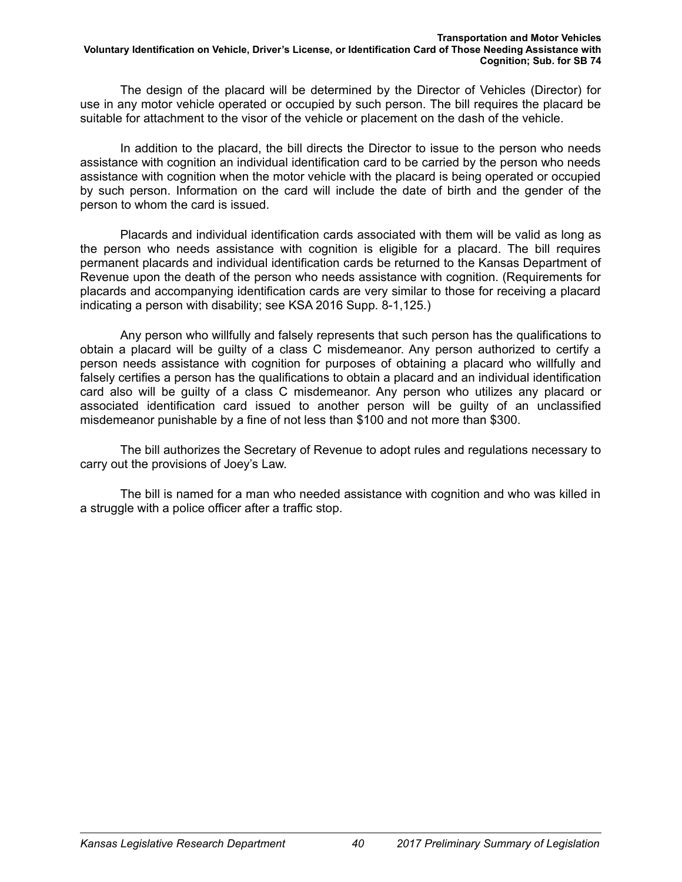The design of the placard will be determined by the Director of Vehicles (Director) for use in any motor vehicle operated or occupied by such person. The bill requires the placard be suitable for attachment to the visor of the vehicle or placement on the dash of the vehicle.

In addition to the placard, the bill directs the Director to issue to the person who needs assistance with cognition an individual identification card to be carried by the person who needs assistance with cognition when the motor vehicle with the placard is being operated or occupied by such person. Information on the card will include the date of birth and the gender of the person to whom the card is issued.

Placards and individual identification cards associated with them will be valid as long as the person who needs assistance with cognition is eligible for a placard. The bill requires permanent placards and individual identification cards be returned to the Kansas Department of Revenue upon the death of the person who needs assistance with cognition. (Requirements for placards and accompanying identification cards are very similar to those for receiving a placard indicating a person with disability; see KSA 2016 Supp. 8-1,125.)

Any person who willfully and falsely represents that such person has the qualifications to obtain a placard will be guilty of a class C misdemeanor. Any person authorized to certify a person needs assistance with cognition for purposes of obtaining a placard who willfully and falsely certifies a person has the qualifications to obtain a placard and an individual identification card also will be guilty of a class C misdemeanor. Any person who utilizes any placard or associated identification card issued to another person will be guilty of an unclassified misdemeanor punishable by a fine of not less than \$100 and not more than \$300.

The bill authorizes the Secretary of Revenue to adopt rules and regulations necessary to carry out the provisions of Joey's Law.

The bill is named for a man who needed assistance with cognition and who was killed in a struggle with a police officer after a traffic stop.